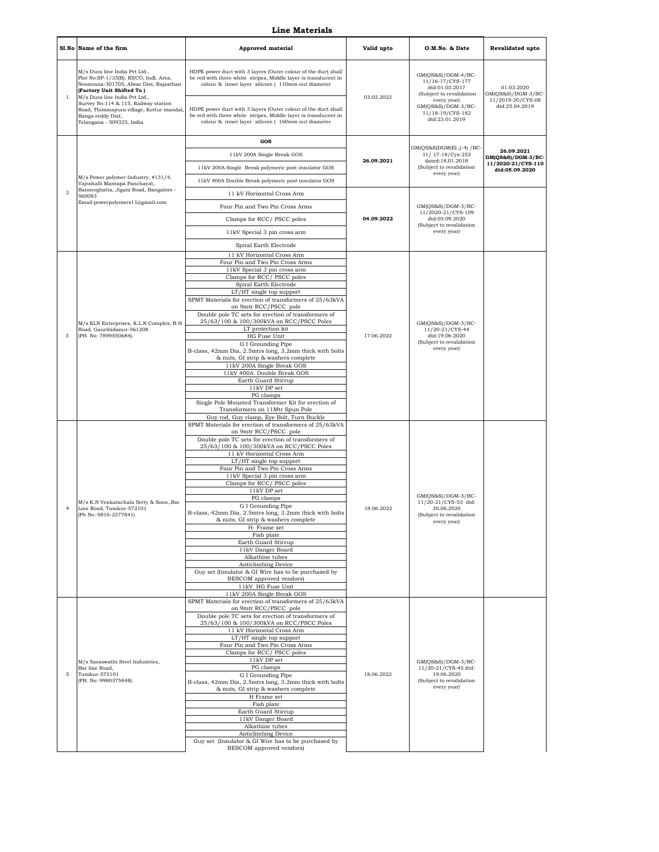## **Line Materials**

|                  | Sl.No Name of the firm                                                                                                                                                                                                                                                                                                | <b>Approved material</b>                                                                                                                                                                                                                                                                                                                                                         | Valid upto | O.M.No. & Date                                                                                                                                                  | <b>Revalidated upto</b>                                                 |
|------------------|-----------------------------------------------------------------------------------------------------------------------------------------------------------------------------------------------------------------------------------------------------------------------------------------------------------------------|----------------------------------------------------------------------------------------------------------------------------------------------------------------------------------------------------------------------------------------------------------------------------------------------------------------------------------------------------------------------------------|------------|-----------------------------------------------------------------------------------------------------------------------------------------------------------------|-------------------------------------------------------------------------|
| $\mathbf{1}$     | M/s Dura line India Pvt Ltd.,<br>Plot No:SP-1/33(B), RIICO, Indl. Area.<br>Neemrana-301705, Alwar Dist, Rajasthan<br>(Factory Unit Shifted To)<br>M/s Dura line India Pvt Ltd.,<br>Survey No:114 & 115, Railway station<br>Road, Thimmapura village, Kottur mandal,<br>Ranga reddy Dist,<br>Telangana - 509325, India | HDPE power duct with 3 layers (Outer colour of the duct shall<br>be red with three white stripes, Middle layer is translucent in<br>colour & inner layer silicore ) 110mm out diameter<br>HDPE power duct with 3 layers (Outer colour of the duct shall<br>be red with three white stripes, Middle layer is translucent in<br>colour & inner layer silicore ) 160mm out diameter | 03.02.2022 | GM(QS&S)/DGM-4/BC-<br>11/16-17/CYS-177<br>dtd:01.03.2017<br>(Subject to revalidation<br>every year)<br>GM(QS&S)/DGM-3/BC-<br>11/18-19/CYS-182<br>dtd:23.01.2019 | 01.03.2020<br>GM(QS&S)/DGM-3/BC-<br>11/2019-20/CYS-08<br>dtd:25.04.2019 |
|                  |                                                                                                                                                                                                                                                                                                                       | GOS                                                                                                                                                                                                                                                                                                                                                                              |            |                                                                                                                                                                 |                                                                         |
|                  |                                                                                                                                                                                                                                                                                                                       | 11kV 200A Single Break GOS                                                                                                                                                                                                                                                                                                                                                       |            | GM(QS&S)DGM(El.,)-4) /BC-<br>11/ 17-18/Cys-253                                                                                                                  | 26.09.2021<br>GM(QS&S)/DGM-3/BC-                                        |
|                  |                                                                                                                                                                                                                                                                                                                       | 11kV 200A Single Break polymeric post insulator GOS                                                                                                                                                                                                                                                                                                                              | 26.09.2021 | dated:18.01.2018<br>(Subject to revalidation                                                                                                                    | 11/2020-21/CYS-110<br>dtd:05.09.2020                                    |
|                  | M/s Power polymer Industry, #131/4,<br>Vajrahalli Mantapa Panchayat,                                                                                                                                                                                                                                                  | 11kV 400A Double Break polymeric post insulator GOS                                                                                                                                                                                                                                                                                                                              |            | every year)                                                                                                                                                     |                                                                         |
| $\boldsymbol{2}$ | Bannerghatta, Jigani Road, Bangalore -<br>560083                                                                                                                                                                                                                                                                      | 11 kV Horizontal Cross Arm                                                                                                                                                                                                                                                                                                                                                       |            |                                                                                                                                                                 |                                                                         |
|                  | Email:powerpolymers11@gmail.com                                                                                                                                                                                                                                                                                       | Four Pin and Two Pin Cross Arms                                                                                                                                                                                                                                                                                                                                                  |            | GM(QS&S)/DGM-3/BC-<br>11/2020-21/CYS-109                                                                                                                        |                                                                         |
|                  |                                                                                                                                                                                                                                                                                                                       | Clamps for RCC/PSCC poles                                                                                                                                                                                                                                                                                                                                                        | 04.09.2022 | dtd:05.09.2020<br>(Subject to revalidation                                                                                                                      |                                                                         |
|                  |                                                                                                                                                                                                                                                                                                                       | 11kV Special 3 pin cross arm                                                                                                                                                                                                                                                                                                                                                     |            | every year)                                                                                                                                                     |                                                                         |
|                  |                                                                                                                                                                                                                                                                                                                       | Spiral Earth Electrode                                                                                                                                                                                                                                                                                                                                                           |            |                                                                                                                                                                 |                                                                         |
|                  |                                                                                                                                                                                                                                                                                                                       | 11 kV Horizontal Cross Arm<br>Four Pin and Two Pin Cross Arms                                                                                                                                                                                                                                                                                                                    |            |                                                                                                                                                                 |                                                                         |
|                  |                                                                                                                                                                                                                                                                                                                       | 11kV Special 3 pin cross arm<br>Clamps for RCC/PSCC poles                                                                                                                                                                                                                                                                                                                        |            |                                                                                                                                                                 |                                                                         |
|                  |                                                                                                                                                                                                                                                                                                                       | Spiral Earth Electrode<br>LT/HT single top support                                                                                                                                                                                                                                                                                                                               |            |                                                                                                                                                                 |                                                                         |
|                  |                                                                                                                                                                                                                                                                                                                       | SPMT Materials for erection of transformers of 25/63kVA                                                                                                                                                                                                                                                                                                                          |            |                                                                                                                                                                 |                                                                         |
|                  |                                                                                                                                                                                                                                                                                                                       | on 9mtr RCC/PSCC pole<br>Double pole TC sets for erection of transformers of                                                                                                                                                                                                                                                                                                     |            |                                                                                                                                                                 |                                                                         |
|                  | M/s KLN Enterprises, K.L.N Complex, B.H<br>Road, Gauribidanur-561208.<br>(PH. No: 7899550684).                                                                                                                                                                                                                        | 25/63/100 & 100/300kVA on RCC/PSCC Poles<br>LT protection kit                                                                                                                                                                                                                                                                                                                    |            | GM(QS&S)/DGM-3/BC-<br>11/20-21/CYS-44<br>dtd:19.06.2020<br>(Subject to revalidation<br>every year)                                                              |                                                                         |
| 3                |                                                                                                                                                                                                                                                                                                                       | HG Fuse Unit<br>G I Grounding Pipe                                                                                                                                                                                                                                                                                                                                               | 17.06.2022 |                                                                                                                                                                 |                                                                         |
|                  |                                                                                                                                                                                                                                                                                                                       | B-class, 42mm Dia, 2.5mtrs long, 3.2mm thick with bolts<br>& nuts, GI strip & washers complete                                                                                                                                                                                                                                                                                   |            |                                                                                                                                                                 |                                                                         |
|                  |                                                                                                                                                                                                                                                                                                                       | 11kV 200A Single Break GOS                                                                                                                                                                                                                                                                                                                                                       |            |                                                                                                                                                                 |                                                                         |
|                  |                                                                                                                                                                                                                                                                                                                       | 11kV 400A Double Break GOS<br>Earth Guard Stirrup                                                                                                                                                                                                                                                                                                                                |            |                                                                                                                                                                 |                                                                         |
|                  |                                                                                                                                                                                                                                                                                                                       | 11kV DP set<br>PG clamps                                                                                                                                                                                                                                                                                                                                                         |            |                                                                                                                                                                 |                                                                         |
|                  |                                                                                                                                                                                                                                                                                                                       | Single Pole Mounted Transformer Kit for erection of<br>Transformers on 11Mtr Spun Pole                                                                                                                                                                                                                                                                                           |            |                                                                                                                                                                 |                                                                         |
|                  |                                                                                                                                                                                                                                                                                                                       | Guy rod, Guy clamp, Eye Bolt, Turn Buckle                                                                                                                                                                                                                                                                                                                                        |            |                                                                                                                                                                 |                                                                         |
|                  |                                                                                                                                                                                                                                                                                                                       | SPMT Materials for erection of transformers of 25/63kVA<br>on 9mtr RCC/PSCC pole                                                                                                                                                                                                                                                                                                 |            |                                                                                                                                                                 |                                                                         |
|                  |                                                                                                                                                                                                                                                                                                                       | Double pole TC sets for erection of transformers of<br>25/63/100 & 100/300kVA on RCC/PSCC Poles                                                                                                                                                                                                                                                                                  |            |                                                                                                                                                                 |                                                                         |
|                  |                                                                                                                                                                                                                                                                                                                       | 11 kV Horizontal Cross Arm<br>LT/HT single top support                                                                                                                                                                                                                                                                                                                           |            |                                                                                                                                                                 |                                                                         |
|                  |                                                                                                                                                                                                                                                                                                                       | Four Pin and Two Pin Cross Arms<br>11kV Special 3 pin cross arm                                                                                                                                                                                                                                                                                                                  |            |                                                                                                                                                                 |                                                                         |
|                  |                                                                                                                                                                                                                                                                                                                       | Clamps for RCC/PSCC poles<br>11kV DP set                                                                                                                                                                                                                                                                                                                                         |            |                                                                                                                                                                 |                                                                         |
|                  | M/s K.N Venkatachala Setty & SonsBar                                                                                                                                                                                                                                                                                  | PG clamps                                                                                                                                                                                                                                                                                                                                                                        |            | GM(QS&S)/DGM-3/BC-<br>11/20-21/CYS-53 dtd:                                                                                                                      |                                                                         |
| $\overline{4}$   | Line Road, Tumkur-572101<br>(Ph No: 0816-2277841)                                                                                                                                                                                                                                                                     | G I Grounding Pipe<br>B-class, 42mm Dia, 2.5mtrs long, 3.2mm thick with bolts                                                                                                                                                                                                                                                                                                    | 18.06.2022 | 30.06.2020<br>(Subject to revalidation                                                                                                                          |                                                                         |
|                  |                                                                                                                                                                                                                                                                                                                       | & nuts. GI strip & washers complete<br>H- Frame set                                                                                                                                                                                                                                                                                                                              |            | every year)                                                                                                                                                     |                                                                         |
|                  |                                                                                                                                                                                                                                                                                                                       | Fish plate<br>Earth Guard Stirrup                                                                                                                                                                                                                                                                                                                                                |            |                                                                                                                                                                 |                                                                         |
|                  |                                                                                                                                                                                                                                                                                                                       | 11kV Danger Board<br>Alkathine tubes                                                                                                                                                                                                                                                                                                                                             |            |                                                                                                                                                                 |                                                                         |
|                  |                                                                                                                                                                                                                                                                                                                       | Anticlimbing Device                                                                                                                                                                                                                                                                                                                                                              |            |                                                                                                                                                                 |                                                                         |
|                  |                                                                                                                                                                                                                                                                                                                       | Guy set (Insulator & GI Wire has to be purchased by<br>BESCOM approved vendors)                                                                                                                                                                                                                                                                                                  |            |                                                                                                                                                                 |                                                                         |
|                  |                                                                                                                                                                                                                                                                                                                       | 11kV HG Fuse Unit<br>11kV 200A Single Break GOS                                                                                                                                                                                                                                                                                                                                  |            |                                                                                                                                                                 |                                                                         |
|                  |                                                                                                                                                                                                                                                                                                                       | SPMT Materials for erection of transformers of 25/63kVA<br>on 9mtr RCC/PSCC pole                                                                                                                                                                                                                                                                                                 |            |                                                                                                                                                                 |                                                                         |
|                  |                                                                                                                                                                                                                                                                                                                       | Double pole TC sets for erection of transformers of                                                                                                                                                                                                                                                                                                                              |            |                                                                                                                                                                 |                                                                         |
|                  |                                                                                                                                                                                                                                                                                                                       | 25/63/100 & 100/300kVA on RCC/PSCC Poles<br>11 kV Horizontal Cross Arm                                                                                                                                                                                                                                                                                                           |            |                                                                                                                                                                 |                                                                         |
|                  |                                                                                                                                                                                                                                                                                                                       | LT/HT single top support<br>Four Pin and Two Pin Cross Arms                                                                                                                                                                                                                                                                                                                      |            |                                                                                                                                                                 |                                                                         |
|                  | M/s Saraswathi Steel Industries,                                                                                                                                                                                                                                                                                      | Clamps for RCC/ PSCC poles<br>11kV DP set                                                                                                                                                                                                                                                                                                                                        |            | $GM(QS&S)/DGM-3/BC-$                                                                                                                                            |                                                                         |
| 5                | Bar line Road,<br>Tumkur-575101                                                                                                                                                                                                                                                                                       | PG clamps                                                                                                                                                                                                                                                                                                                                                                        | 18.06.2022 | 11/20-21/CYS-45 dtd:<br>19.06.2020                                                                                                                              |                                                                         |
|                  | (PH. No: 9980375848).                                                                                                                                                                                                                                                                                                 | G I Grounding Pipe<br>B-class, 42mm Dia, 2.5mtrs long, 3.2mm thick with bolts                                                                                                                                                                                                                                                                                                    |            | (Subject to revalidation<br>every year)                                                                                                                         |                                                                         |
|                  |                                                                                                                                                                                                                                                                                                                       | & nuts, GI strip & washers complete<br>H Frame set                                                                                                                                                                                                                                                                                                                               |            |                                                                                                                                                                 |                                                                         |
|                  |                                                                                                                                                                                                                                                                                                                       | Fish plate<br>Earth Guard Stirrup                                                                                                                                                                                                                                                                                                                                                |            |                                                                                                                                                                 |                                                                         |
|                  |                                                                                                                                                                                                                                                                                                                       | 11kV Danger Board<br>Alkathine tubes                                                                                                                                                                                                                                                                                                                                             |            |                                                                                                                                                                 |                                                                         |
|                  |                                                                                                                                                                                                                                                                                                                       | Anticlimbing Device                                                                                                                                                                                                                                                                                                                                                              |            |                                                                                                                                                                 |                                                                         |
|                  |                                                                                                                                                                                                                                                                                                                       | Guy set (Insulator & GI Wire has to be purchased by<br>BESCOM approved vendors)                                                                                                                                                                                                                                                                                                  |            |                                                                                                                                                                 |                                                                         |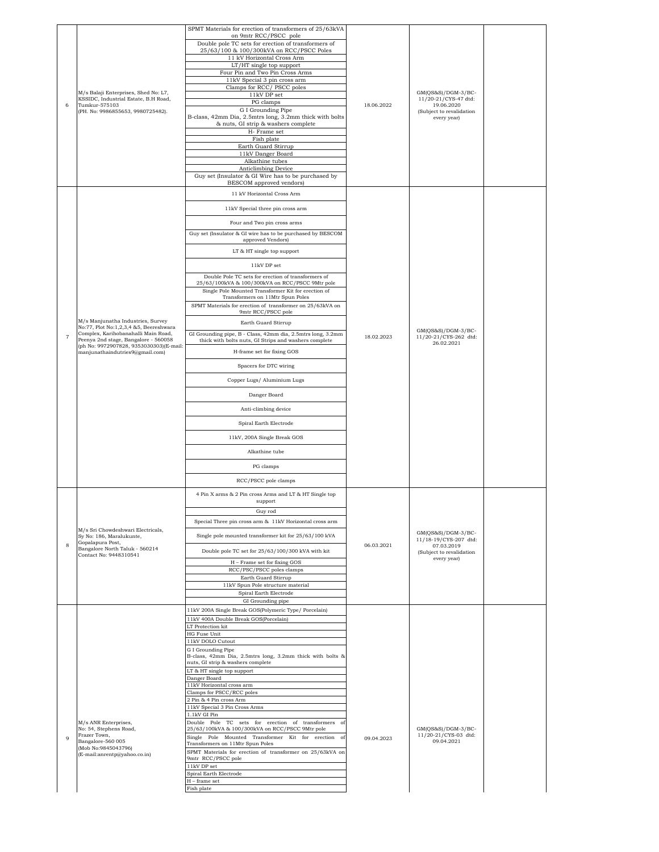|                |                                                                             | SPMT Materials for erection of transformers of 25/63kVA<br>on 9mtr RCC/PSCC pole                                     |            |                                               |  |
|----------------|-----------------------------------------------------------------------------|----------------------------------------------------------------------------------------------------------------------|------------|-----------------------------------------------|--|
|                |                                                                             | Double pole TC sets for erection of transformers of                                                                  |            |                                               |  |
|                |                                                                             | 25/63/100 & 100/300kVA on RCC/PSCC Poles<br>11 kV Horizontal Cross Arm                                               |            |                                               |  |
|                |                                                                             | LT/HT single top support<br>Four Pin and Two Pin Cross Arms                                                          |            |                                               |  |
|                |                                                                             | 11kV Special 3 pin cross arm                                                                                         |            |                                               |  |
|                | M/s Balaji Enterprises, Shed No: L7,                                        | Clamps for RCC/ PSCC poles<br>11kV DP set                                                                            |            | GM(QS&S)/DGM-3/BC-                            |  |
| 6              | KSSIDC, Industrial Estate, B.H Road,<br>Tumkur-575103                       | PG clamps<br>G I Grounding Pipe                                                                                      | 18.06.2022 | 11/20-21/CYS-47 dtd:<br>19.06.2020            |  |
|                | (PH. No: 9986855653, 9980725482).                                           | B-class, 42mm Dia, 2.5mtrs long, 3.2mm thick with bolts                                                              |            | (Subject to revalidation<br>every year)       |  |
|                |                                                                             | & nuts, GI strip & washers complete<br>H- Frame set                                                                  |            |                                               |  |
|                |                                                                             | Fish plate<br>Earth Guard Stirrup                                                                                    |            |                                               |  |
|                |                                                                             | 11kV Danger Board                                                                                                    |            |                                               |  |
|                |                                                                             | Alkathine tubes<br>Anticlimbing Device                                                                               |            |                                               |  |
|                |                                                                             | Guy set (Insulator & GI Wire has to be purchased by<br>BESCOM approved vendors)                                      |            |                                               |  |
|                |                                                                             | 11 kV Horizontal Cross Arm                                                                                           |            |                                               |  |
|                |                                                                             | 11kV Special three pin cross arm                                                                                     |            |                                               |  |
|                |                                                                             |                                                                                                                      |            |                                               |  |
|                |                                                                             | Four and Two pin cross arms                                                                                          |            |                                               |  |
|                |                                                                             | Guy set (Insulator & GI wire has to be purchased by BESCOM<br>approved Vendors)                                      |            |                                               |  |
|                |                                                                             | LT & HT single top support                                                                                           |            |                                               |  |
|                |                                                                             | $11\mathrm{kV}$ DP set                                                                                               |            |                                               |  |
|                |                                                                             | Double Pole TC sets for erection of transformers of                                                                  |            |                                               |  |
|                |                                                                             | 25/63/100kVA & 100/300kVA on RCC/PSCC 9Mtr pole<br>Single Pole Mounted Transformer Kit for erection of               |            |                                               |  |
|                |                                                                             | Transformers on 11Mtr Spun Poles<br>SPMT Materials for erection of transformer on 25/63kVA on                        |            |                                               |  |
|                |                                                                             | 9mtr RCC/PSCC pole                                                                                                   |            |                                               |  |
|                | M/s Manjunatha Industries, Survey<br>No:77, Plot No:1,2,3,4 &5, Beereshwara | Earth Guard Stirrup                                                                                                  |            | $GM(QS&S)/DGM-3/BC-$                          |  |
| $\overline{7}$ | Complex, Karihobanahalli Main Road,<br>Peenya 2nd stage, Bangalore - 560058 | GI Grounding pipe, B - Class, 42mm dia, 2.5mtrs long, 3.2mm<br>thick with bolts nuts, GI Strips and washers complete | 18.02.2023 | 11/20-21/CYS-262 dtd:<br>26.02.2021           |  |
|                | (ph No: 9972907828, 9353030303)(E-mail:<br>manjunathaindutries9@gmail.com)  | H-frame set for fixing GOS                                                                                           |            |                                               |  |
|                |                                                                             | Spacers for DTC wiring                                                                                               |            |                                               |  |
|                |                                                                             | Copper Lugs/ Aluminium Lugs                                                                                          |            |                                               |  |
|                |                                                                             |                                                                                                                      |            |                                               |  |
|                |                                                                             | Danger Board                                                                                                         |            |                                               |  |
|                |                                                                             | Anti-climbing device                                                                                                 |            |                                               |  |
|                |                                                                             | Spiral Earth Electrode                                                                                               |            |                                               |  |
|                |                                                                             | 11kV, 200A Single Break GOS                                                                                          |            |                                               |  |
|                |                                                                             | Alkathine tube                                                                                                       |            |                                               |  |
|                |                                                                             | PG clamps                                                                                                            |            |                                               |  |
|                |                                                                             | RCC/PSCC pole clamps                                                                                                 |            |                                               |  |
|                |                                                                             |                                                                                                                      |            |                                               |  |
|                |                                                                             | 4 Pin X arms & 2 Pin cross Arms and LT & HT Single top<br>support                                                    |            |                                               |  |
|                |                                                                             | Guy rod                                                                                                              |            |                                               |  |
|                | M/s Sri Chowdeshwari Electricals,                                           | Special Three pin cross arm & 11kV Horizontal cross arm                                                              |            | $GM(QS&S)/DGM-3/BC-$<br>11/18-19/CYS-207 dtd: |  |
|                | Sy No: 186, Maralukunte,<br>Gopalapura Post,                                | Single pole mounted transformer kit for 25/63/100 kVA                                                                |            |                                               |  |
| 8              | Bangalore North Taluk - 560214<br>Contact No: 9448310541                    | Double pole TC set for 25/63/100/300 kVA with kit                                                                    | 06.03.2021 | 07.03.2019<br>(Subject to revalidation        |  |
|                |                                                                             | H - Frame set for fixing GOS                                                                                         |            | every year)                                   |  |
|                |                                                                             | RCC/PSC/PSCC poles clamps<br>Earth Guard Stirrup                                                                     |            |                                               |  |
|                |                                                                             | 11kV Spun Pole structure material                                                                                    |            |                                               |  |
|                |                                                                             | Spiral Earth Electrode<br>GI Grounding pipe                                                                          |            |                                               |  |
|                |                                                                             | 11kV 200A Single Break GOS(Polymeric Type/ Porcelain)                                                                |            |                                               |  |
|                |                                                                             | 11kV 400A Double Break GOS(Porcelain)<br>LT Protection kit                                                           |            |                                               |  |
|                |                                                                             | HG Fuse Unit<br>11kV DOLO Cutout                                                                                     |            |                                               |  |
|                |                                                                             | G I Grounding Pipe                                                                                                   |            |                                               |  |
|                |                                                                             | B-class, 42mm Dia, 2.5mtrs long, 3.2mm thick with bolts &<br>nuts, GI strip & washers complete                       |            |                                               |  |
|                |                                                                             | LT & HT single top support<br>Danger Board                                                                           |            |                                               |  |
|                |                                                                             | 11kV Horizontal cross arm                                                                                            |            |                                               |  |
|                |                                                                             | Clamps for PSCC/RCC poles<br>2 Pin & 4 Pin cross Arm                                                                 |            |                                               |  |
|                |                                                                             | 11kV Special 3 Pin Cross Arms<br>1.1kV GI Pin                                                                        |            |                                               |  |
|                | M/s ANR Enterprises,<br>No: 54, Stephens Road,                              | Double Pole TC sets for erection of transformers of<br>25/63/100kVA & 100/300kVA on RCC/PSCC 9Mtr pole               |            | GM(QS&S)/DGM-3/BC-                            |  |
| $\overline{9}$ | Frazer Town,<br>Bangalore-560 005                                           | Single Pole Mounted Transformer Kit for erection of                                                                  | 09.04.2023 | 11/20-21/CYS-03 dtd:<br>09.04.2021            |  |
|                | (Mob No:9845043796)                                                         | Transformers on 11Mtr Spun Poles<br>SPMT Materials for erection of transformer on 25/63kVA on                        |            |                                               |  |
|                | (E-mail:anrentp@yahoo.co.in)                                                | 9mtr RCC/PSCC pole                                                                                                   |            |                                               |  |
|                |                                                                             | $11\mathrm{kV}$ DP set<br>Spiral Earth Electrode                                                                     |            |                                               |  |
|                |                                                                             | $H$ – frame set<br>Fish plate                                                                                        |            |                                               |  |
|                |                                                                             |                                                                                                                      |            |                                               |  |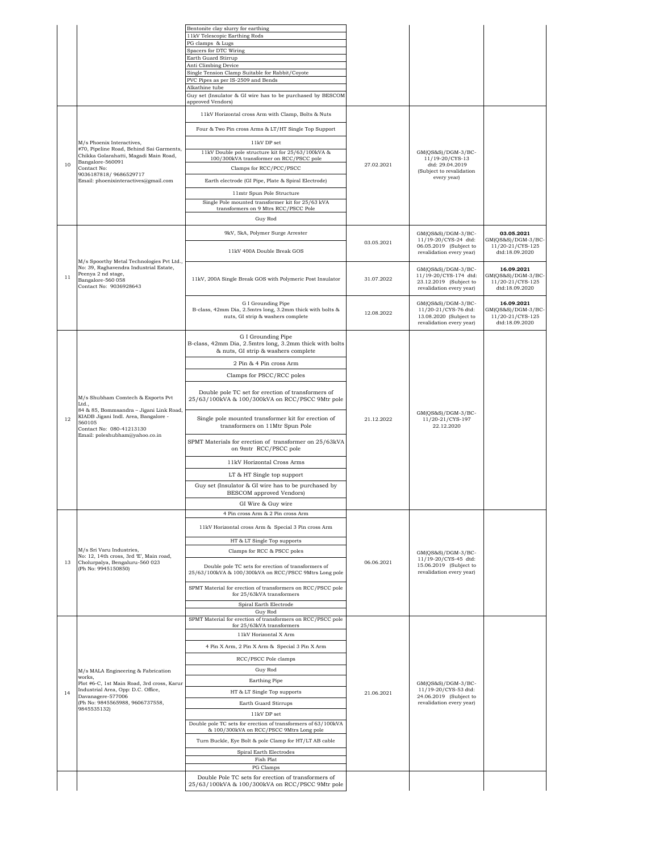|    |                                                                                                                                                                                                       | Bentonite clay slurry for earthing                                                                                      |            |                                                                                                   |                                                                          |
|----|-------------------------------------------------------------------------------------------------------------------------------------------------------------------------------------------------------|-------------------------------------------------------------------------------------------------------------------------|------------|---------------------------------------------------------------------------------------------------|--------------------------------------------------------------------------|
|    |                                                                                                                                                                                                       | 11kV Telescopic Earthing Rods                                                                                           |            |                                                                                                   |                                                                          |
|    |                                                                                                                                                                                                       | PG clamps & Lugs<br>Spacers for DTC Wiring                                                                              |            |                                                                                                   |                                                                          |
|    |                                                                                                                                                                                                       | Earth Guard Stirrup                                                                                                     |            |                                                                                                   |                                                                          |
|    |                                                                                                                                                                                                       | Anti Climbing Device                                                                                                    |            |                                                                                                   |                                                                          |
|    |                                                                                                                                                                                                       | Single Tension Clamp Suitable for Rabbit/Coyote<br>PVC Pipes as per IS-2509 and Bends                                   |            |                                                                                                   |                                                                          |
|    |                                                                                                                                                                                                       | Alkathine tube                                                                                                          |            |                                                                                                   |                                                                          |
|    |                                                                                                                                                                                                       | Guy set (Insulator & GI wire has to be purchased by BESCOM<br>approved Vendors)                                         |            |                                                                                                   |                                                                          |
|    |                                                                                                                                                                                                       | 11kV Horizontal cross Arm with Clamp, Bolts & Nuts                                                                      |            |                                                                                                   |                                                                          |
|    |                                                                                                                                                                                                       | Four & Two Pin cross Arms & LT/HT Single Top Support                                                                    |            |                                                                                                   |                                                                          |
|    | M/s Phoenix Interactives,                                                                                                                                                                             | 11kV DP set                                                                                                             |            |                                                                                                   |                                                                          |
| 10 | #70, Pipeline Road, Behind Sai Garments,<br>Chikka Golarahatti, Magadi Main Road,<br>Bangalore-560091<br>Contact No:                                                                                  | 11kV Double pole structure kit for 25/63/100kVA &<br>100/300kVA transformer on RCC/PSCC pole<br>Clamps for RCC/PCC/PSCC | 27.02.2021 | GM(QS&S)/DGM-3/BC-<br>11/19-20/CYS-13<br>dtd: 29.04.2019                                          |                                                                          |
|    | 9036187818/9686529717<br>Email: phoenixinteractives@gmail.com                                                                                                                                         | Earth electrode (GI Pipe, Plate & Spiral Electrode)                                                                     |            | (Subject to revalidation<br>every year)                                                           |                                                                          |
|    |                                                                                                                                                                                                       | 11mtr Spun Pole Structure                                                                                               |            |                                                                                                   |                                                                          |
|    |                                                                                                                                                                                                       | Single Pole mounted transformer kit for 25/63 kVA                                                                       |            |                                                                                                   |                                                                          |
|    |                                                                                                                                                                                                       | transformers on 9 Mtrs RCC/PSCC Pole                                                                                    |            |                                                                                                   |                                                                          |
|    |                                                                                                                                                                                                       | Guy Rod                                                                                                                 |            |                                                                                                   |                                                                          |
|    |                                                                                                                                                                                                       | 9kV, 5kA, Polymer Surge Arrester                                                                                        |            | GM(OS&S)/DGM-3/BC-<br>11/19-20/CYS-24 dtd:                                                        | 03.05.2021<br>GM(QS&S)/DGM-3/BC-                                         |
|    |                                                                                                                                                                                                       | 11kV 400A Double Break GOS                                                                                              | 03.05.2021 | 06.05.2019 (Subject to                                                                            | 11/20-21/CYS-125<br>dtd:18.09.2020                                       |
|    | M/s Spoorthy Metal Technologies Pvt Ltd.,                                                                                                                                                             |                                                                                                                         |            | revalidation every year)                                                                          |                                                                          |
| 11 | No: 39, Raghavendra Industrial Estate,<br>Peenya 2 nd stage,<br>Bangalore-560 058<br>Contact No: 9036928643                                                                                           | 11kV, 200A Single Break GOS with Polymeric Post Insulator                                                               | 31.07.2022 | GM(OS&S)/DGM-3/BC-<br>11/19-20/CYS-174 dtd:<br>23.12.2019 (Subject to<br>revalidation every year) | 16.09.2021<br>GM(QS&S)/DGM-3/BC-<br>11/20-21/CYS-125<br>dtd:18.09.2020   |
|    |                                                                                                                                                                                                       | G I Grounding Pipe<br>B-class, 42mm Dia, 2.5mtrs long, 3.2mm thick with bolts &<br>nuts, GI strip & washers complete    | 12.08.2022 | GM(QS&S)/DGM-3/BC-<br>11/20-21/CYS-76 dtd:<br>13.08.2020 (Subject to<br>revalidation every year)  | 16.09.2021<br>$GM(QS&S)/DGM-3/BC-$<br>11/20-21/CYS-125<br>dtd:18.09.2020 |
|    |                                                                                                                                                                                                       | G I Grounding Pipe<br>B-class, 42mm Dia, 2.5mtrs long, 3.2mm thick with bolts<br>& nuts, GI strip & washers complete    |            |                                                                                                   |                                                                          |
|    | M/s Shubham Comtech & Exports Pvt<br>Ltd.,<br>84 & 85, Bommsandra - Jigani Link Road,<br>KIADB Jigani Indl. Area, Bangalore -<br>560105<br>Contact No: 080-41213130<br>Email: poleshubham@yahoo.co.in | 2 Pin & 4 Pin cross Arm                                                                                                 |            |                                                                                                   |                                                                          |
|    |                                                                                                                                                                                                       | Clamps for PSCC/RCC poles                                                                                               |            |                                                                                                   |                                                                          |
|    |                                                                                                                                                                                                       |                                                                                                                         |            |                                                                                                   |                                                                          |
|    |                                                                                                                                                                                                       | Double pole TC set for erection of transformers of<br>25/63/100kVA & 100/300kVA on RCC/PSCC 9Mtr pole                   |            |                                                                                                   |                                                                          |
| 12 |                                                                                                                                                                                                       | Single pole mounted transformer kit for erection of<br>transformers on 11Mtr Spun Pole                                  | 21.12.2022 | GM(QS&S)/DGM-3/BC-<br>11/20-21/CYS-197<br>22.12.2020                                              |                                                                          |
|    |                                                                                                                                                                                                       | SPMT Materials for erection of transformer on 25/63kVA<br>on 9mtr RCC/PSCC pole                                         |            |                                                                                                   |                                                                          |
|    |                                                                                                                                                                                                       | 11kV Horizontal Cross Arms                                                                                              |            |                                                                                                   |                                                                          |
|    |                                                                                                                                                                                                       | LT & HT Single top support                                                                                              |            |                                                                                                   |                                                                          |
|    |                                                                                                                                                                                                       | Guy set (Insulator & GI wire has to be purchased by                                                                     |            |                                                                                                   |                                                                          |
|    |                                                                                                                                                                                                       | BESCOM approved Vendors)                                                                                                |            |                                                                                                   |                                                                          |
|    |                                                                                                                                                                                                       | GI Wire & Guy wire                                                                                                      |            |                                                                                                   |                                                                          |
|    |                                                                                                                                                                                                       | 4 Pin cross Arm & 2 Pin cross Arm                                                                                       |            |                                                                                                   |                                                                          |
|    |                                                                                                                                                                                                       | 11kV Horizontal cross Arm & Special 3 Pin cross Arm                                                                     |            |                                                                                                   |                                                                          |
|    |                                                                                                                                                                                                       |                                                                                                                         |            |                                                                                                   |                                                                          |
|    |                                                                                                                                                                                                       | HT & LT Single Top supports                                                                                             |            |                                                                                                   |                                                                          |
|    | M/s Sri Varu Industries,<br>No: 12, 14th cross, 3rd 'E', Main road,                                                                                                                                   | Clamps for RCC & PSCC poles                                                                                             |            | GM(QS&S)/DGM-3/BC-                                                                                |                                                                          |
| 13 | Cholurpalya, Bengaluru-560 023<br>(Ph No: 9945150850)                                                                                                                                                 | Double pole TC sets for erection of transformers of<br>25/63/100kVA & 100/300kVA on RCC/PSCC 9Mtrs Long pole            | 06.06.2021 | 11/19-20/CYS-45 dtd:<br>15.06.2019 (Subject to<br>revalidation every year)                        |                                                                          |
|    |                                                                                                                                                                                                       | SPMT Material for erection of transformers on RCC/PSCC pole<br>for 25/63kVA transformers                                |            |                                                                                                   |                                                                          |
|    |                                                                                                                                                                                                       | Spiral Earth Electrode                                                                                                  |            |                                                                                                   |                                                                          |
|    |                                                                                                                                                                                                       | Guy Rod                                                                                                                 |            |                                                                                                   |                                                                          |
|    |                                                                                                                                                                                                       | SPMT Material for erection of transformers on RCC/PSCC pole<br>for 25/63kVA transformers<br>11kV Horizontal X Arm       |            |                                                                                                   |                                                                          |
|    |                                                                                                                                                                                                       |                                                                                                                         |            |                                                                                                   |                                                                          |
|    |                                                                                                                                                                                                       | 4 Pin X Arm, 2 Pin X Arm & Special 3 Pin X Arm                                                                          |            |                                                                                                   |                                                                          |
|    |                                                                                                                                                                                                       | RCC/PSCC Pole clamps                                                                                                    |            |                                                                                                   |                                                                          |
|    | M/s MALA Engineering & Fabrication                                                                                                                                                                    | Guy Rod                                                                                                                 |            |                                                                                                   |                                                                          |
|    | works,<br>Plot #6-C, 1st Main Road, 3rd cross, Karur                                                                                                                                                  | Earthing Pipe                                                                                                           |            | GM(QS&S)/DGM-3/BC-                                                                                |                                                                          |
| 14 | Industrial Area, Opp: D.C. Office,<br>Davanagere-577006                                                                                                                                               | HT & LT Single Top supports                                                                                             | 21.06.2021 | 11/19-20/CYS-53 dtd:<br>24.06.2019 (Subject to                                                    |                                                                          |
|    | (Ph No: 9845565988, 9606737558,                                                                                                                                                                       | Earth Guard Stirrups                                                                                                    |            | revalidation every year)                                                                          |                                                                          |
|    | 9845535132)                                                                                                                                                                                           | 11kV DP set                                                                                                             |            |                                                                                                   |                                                                          |
|    |                                                                                                                                                                                                       | Double pole TC sets for erection of transformers of 63/100kVA                                                           |            |                                                                                                   |                                                                          |
|    |                                                                                                                                                                                                       | & 100/300kVA on RCC/PSCC 9Mtrs Long pole                                                                                |            |                                                                                                   |                                                                          |
|    |                                                                                                                                                                                                       | Turn Buckle, Eye Bolt & pole Clamp for HT/LT AB cable                                                                   |            |                                                                                                   |                                                                          |
|    |                                                                                                                                                                                                       | Spiral Earth Electrodes<br>Fish Plat                                                                                    |            |                                                                                                   |                                                                          |
|    |                                                                                                                                                                                                       | PG Clamps                                                                                                               |            |                                                                                                   |                                                                          |
|    |                                                                                                                                                                                                       | Double Pole TC sets for erection of transformers of                                                                     |            |                                                                                                   |                                                                          |
|    |                                                                                                                                                                                                       | 25/63/100kVA & 100/300kVA on RCC/PSCC 9Mtr pole                                                                         |            |                                                                                                   |                                                                          |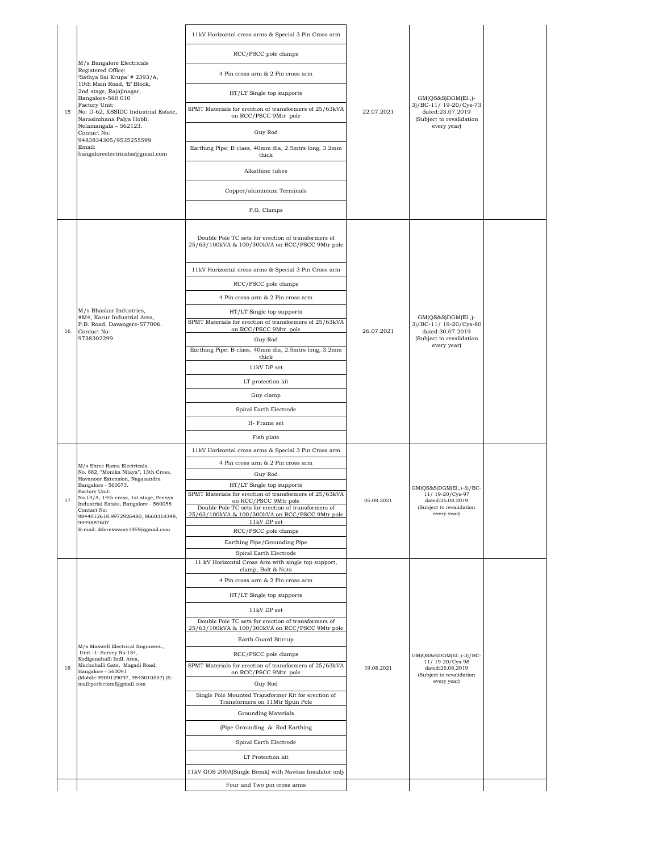|    | M/s Bangalore Electricals<br>Registered Office:<br>'Sathya Sai Krupa' # 2393/A,            | 11kV Horizontal cross arms & Special 3 Pin Cross arm                                                   |            |                                                                                                                |  |
|----|--------------------------------------------------------------------------------------------|--------------------------------------------------------------------------------------------------------|------------|----------------------------------------------------------------------------------------------------------------|--|
|    |                                                                                            | RCC/PSCC pole clamps                                                                                   |            |                                                                                                                |  |
|    |                                                                                            | 4 Pin cross arm & 2 Pin cross arm                                                                      |            |                                                                                                                |  |
|    | 10th Main Road, 'E' Block,<br>2nd stage, Rajajinagar,<br>Bangalore-560 010                 | HT/LT Single top supports                                                                              |            | $GM(QS&S)DGM(E1.,)$ -                                                                                          |  |
| 15 | Factory Unit:<br>No: D-62, KSSIDC Industrial Estate,<br>Narasimhana Palya Hobli,           | SPMT Materials for erection of transformers of 25/63kVA<br>on RCC/PSCC 9Mtr pole                       | 22.07.2021 | 3)/BC-11/ 19-20/Cys-73<br>dated:23.07.2019<br>(Subject to revalidation                                         |  |
|    | Nelamangala - 562123.<br>Contact No:                                                       | Guy Rod                                                                                                |            | every year)                                                                                                    |  |
|    | 9483834305/9535255599<br>Email:<br>bangaloreelectricalss@gmail.com                         | Earthing Pipe: B class, 40mm dia, 2.5mtrs long, 3.2mm<br>thick                                         |            |                                                                                                                |  |
|    |                                                                                            | Alkathine tubes                                                                                        |            |                                                                                                                |  |
|    |                                                                                            | Copper/aluminium Terminals                                                                             |            |                                                                                                                |  |
|    |                                                                                            | P.G. Clamps                                                                                            |            |                                                                                                                |  |
|    |                                                                                            |                                                                                                        |            |                                                                                                                |  |
|    |                                                                                            | Double Pole TC sets for erection of transformers of<br>25/63/100kVA & 100/300kVA on RCC/PSCC 9Mtr pole |            |                                                                                                                |  |
|    |                                                                                            | 11kV Horizontal cross arms & Special 3 Pin Cross arm                                                   |            |                                                                                                                |  |
|    |                                                                                            | RCC/PSCC pole clamps                                                                                   |            |                                                                                                                |  |
|    |                                                                                            | 4 Pin cross arm & 2 Pin cross arm                                                                      |            |                                                                                                                |  |
|    | M/s Bhaskar Industries,                                                                    | HT/LT Single top supports                                                                              |            |                                                                                                                |  |
|    | #M4, Karur Industrial Area,<br>P.B. Road, Davangere-577006.                                | SPMT Materials for erection of transformers of 25/63kVA<br>on RCC/PSCC 9Mtr pole                       |            | $GM(QS&S)DGM(E1.,)$ -<br>3)/BC-11/ 19-20/Cys-80<br>dated:30.07.2019<br>(Subject to revalidation<br>every year) |  |
| 16 | Contact No:<br>9738302299                                                                  | Guy Rod                                                                                                | 26.07.2021 |                                                                                                                |  |
|    |                                                                                            | Earthing Pipe: B class, 40mm dia, 2.5mtrs long, 3.2mm<br>thick                                         |            |                                                                                                                |  |
|    |                                                                                            | 11kV DP set                                                                                            |            |                                                                                                                |  |
|    |                                                                                            | LT protection kit                                                                                      |            |                                                                                                                |  |
|    |                                                                                            | Guy clamp                                                                                              |            |                                                                                                                |  |
|    |                                                                                            | Spiral Earth Electrode                                                                                 |            |                                                                                                                |  |
|    |                                                                                            | H-Frame set                                                                                            |            |                                                                                                                |  |
|    |                                                                                            | Fish plate                                                                                             |            |                                                                                                                |  |
|    |                                                                                            | 11kV Horizontal cross arms & Special 3 Pin Cross arm                                                   |            |                                                                                                                |  |
|    | M/s Shree Rama Electricals,                                                                | 4 Pin cross arm & 2 Pin cross arm                                                                      |            | GM(QS&S)DGM(El.,)-3)/BC-<br>11/19-20/Cys-97<br>dated:26.08.2019<br>(Subject to revalidation<br>every year)     |  |
|    | No. 882, "Monika Nilaya", 13th Cross,<br>Havanoor Extension, Nagasandra                    | Guy Rod                                                                                                |            |                                                                                                                |  |
|    | Bangalore - 560073.<br>Factory Unit:                                                       | HT/LT Single top supports<br>SPMT Materials for erection of transformers of 25/63kVA                   |            |                                                                                                                |  |
| 17 | No.14/A, 14th cross, 1st stage, Peenya<br>Industrial Estate, Bangalore - 560058            | on RCC/PSCC 9Mtr pole<br>Double Pole TC sets for erection of transformers of                           | 05.08.2021 |                                                                                                                |  |
|    | Contact No:<br>9844012618,9972926480, 8660318348,                                          | 25/63/100kVA & 100/300kVA on RCC/PSCC 9Mtr pole<br>11kV DP set                                         |            |                                                                                                                |  |
|    | 9449887607<br>E-mail: ddoreswamy1959@gmail.com                                             | RCC/PSCC pole clamps                                                                                   |            |                                                                                                                |  |
|    |                                                                                            | Earthing Pipe/Grounding Pipe                                                                           |            |                                                                                                                |  |
|    |                                                                                            | Spiral Earth Electrode<br>11 kV Horizontal Cross Arm with single top support,                          |            |                                                                                                                |  |
|    |                                                                                            | clamp, Bolt & Nuts                                                                                     |            |                                                                                                                |  |
|    |                                                                                            | 4 Pin cross arm & 2 Pin cross arm                                                                      |            |                                                                                                                |  |
|    |                                                                                            | HT/LT Single top supports                                                                              |            |                                                                                                                |  |
|    |                                                                                            | 11kV DP set                                                                                            |            |                                                                                                                |  |
|    |                                                                                            | Double Pole TC sets for erection of transformers of<br>25/63/100kVA & 100/300kVA on RCC/PSCC 9Mtr pole |            |                                                                                                                |  |
|    |                                                                                            | Earth Guard Stirrup                                                                                    |            |                                                                                                                |  |
|    | M/s Maxwell Electrical Engineers.,<br>Unit -1: Survey No:154,<br>Kodigenahalli Indl. Area, | RCC/PSCC pole clamps                                                                                   |            | GM(QS&S)DGM(El.,)-3)/BC-                                                                                       |  |
| 18 | Machohalli Gate, Magadi Road,<br>Bangalore - 560091                                        | SPMT Materials for erection of transformers of 25/63kVA<br>on RCC/PSCC 9Mtr pole                       | 19.08.2021 | 11/19-20/Cys-98<br>dated:26.08.2019                                                                            |  |
|    | (Mobile:9900129097, 9845010557) (E-<br>mail:perfectemf@gmail.com                           | Guy Rod                                                                                                |            | (Subject to revalidation<br>every year)                                                                        |  |
|    |                                                                                            | Single Pole Mounted Transformer Kit for erection of                                                    |            |                                                                                                                |  |
|    |                                                                                            | Transformers on 11Mtr Spun Pole<br>Grounding Materials                                                 |            |                                                                                                                |  |
|    |                                                                                            | (Pipe Grounding & Rod Earthing)                                                                        |            |                                                                                                                |  |
|    |                                                                                            | Spiral Earth Electrode                                                                                 |            |                                                                                                                |  |
|    |                                                                                            |                                                                                                        |            |                                                                                                                |  |
|    |                                                                                            | LT Protection kit                                                                                      |            |                                                                                                                |  |
|    |                                                                                            | 11kV GOS 200A(Single Break) with Navitas Insulator only                                                |            |                                                                                                                |  |
|    |                                                                                            | Four and Two pin cross arms                                                                            |            |                                                                                                                |  |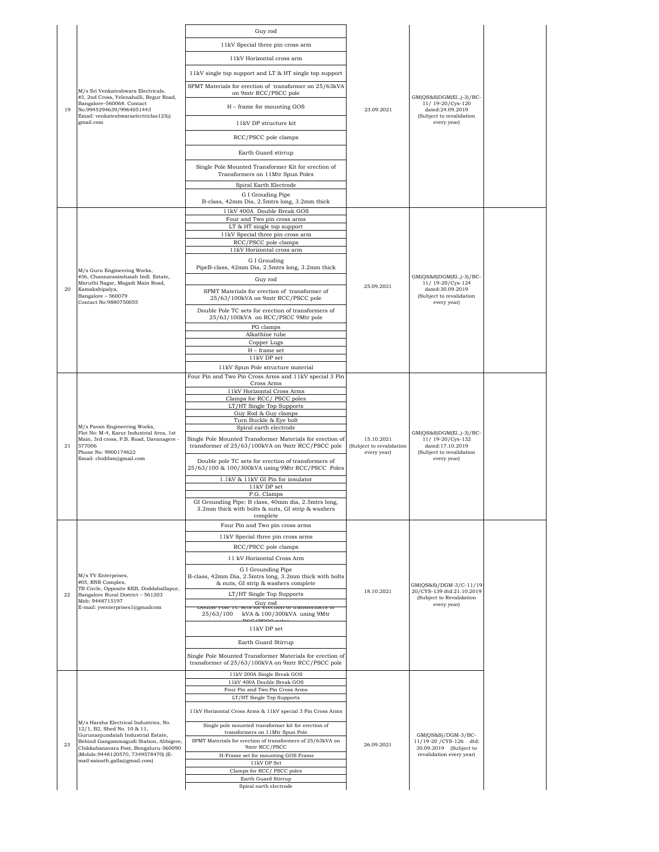|    |                                                                                                                                                                                    | Guy rod                                                                                                              |                                                       |                                                                                              |  |
|----|------------------------------------------------------------------------------------------------------------------------------------------------------------------------------------|----------------------------------------------------------------------------------------------------------------------|-------------------------------------------------------|----------------------------------------------------------------------------------------------|--|
|    |                                                                                                                                                                                    | 11kV Special three pin cross arm                                                                                     |                                                       |                                                                                              |  |
|    |                                                                                                                                                                                    | 11kV Horizontal cross arm                                                                                            |                                                       |                                                                                              |  |
|    |                                                                                                                                                                                    | 11kV single top support and LT & HT single top support                                                               |                                                       |                                                                                              |  |
|    |                                                                                                                                                                                    | SPMT Materials for erection of transformer on 25/63kVA                                                               |                                                       |                                                                                              |  |
|    | M/s Sri Venkateshwara Electricals.<br>#3, 2nd Cross, Yelenahalli, Begur Road,                                                                                                      | on 9mtr RCC/PSCC pole                                                                                                |                                                       | GM(QS&S)DGM(El.,)-3)/BC-                                                                     |  |
| 19 | Bangalore-560068. Contact<br>No:9945294639/9964051443                                                                                                                              | H - frame for mounting GOS                                                                                           | 23.09.2021                                            | 11/ 19-20/Cys-120<br>dated:24.09.2019                                                        |  |
|    | Email: venkateshwaraelectriclas123@<br>gmail.com                                                                                                                                   | 11kV DP structure kit                                                                                                |                                                       | (Subject to revalidation<br>every year)                                                      |  |
|    |                                                                                                                                                                                    | RCC/PSCC pole clamps                                                                                                 |                                                       |                                                                                              |  |
|    |                                                                                                                                                                                    | Earth Guard stirrup                                                                                                  |                                                       |                                                                                              |  |
|    |                                                                                                                                                                                    | Single Pole Mounted Transformer Kit for erection of                                                                  |                                                       |                                                                                              |  |
|    |                                                                                                                                                                                    | Transformers on 11Mtr Spun Poles                                                                                     |                                                       |                                                                                              |  |
|    |                                                                                                                                                                                    | Spiral Earth Electrode                                                                                               |                                                       |                                                                                              |  |
|    |                                                                                                                                                                                    | G I Grouding Pipe<br>B-class, 42mm Dia, 2.5mtrs long, 3.2mm thick                                                    |                                                       |                                                                                              |  |
|    |                                                                                                                                                                                    | 11kV 400A Double Break GOS<br>Four and Two pin cross arms                                                            |                                                       |                                                                                              |  |
|    |                                                                                                                                                                                    | LT & HT single top support                                                                                           |                                                       |                                                                                              |  |
|    |                                                                                                                                                                                    | 11kV Special three pin cross arm<br>RCC/PSCC pole clamps                                                             |                                                       |                                                                                              |  |
|    |                                                                                                                                                                                    | 11kV Horizontal cross arm                                                                                            |                                                       |                                                                                              |  |
|    |                                                                                                                                                                                    | G I Grouding<br>PipeB-class, 42mm Dia, 2.5mtrs long, 3.2mm thick                                                     |                                                       |                                                                                              |  |
|    | M/s Guru Engineering Works,<br>#36, Channarasimhaiah Indl. Estate,                                                                                                                 | Guy rod                                                                                                              |                                                       | GM(QS&S)DGM(El.,)-3)/BC-                                                                     |  |
| 20 | Maruthi Nagar, Magadi Main Road,<br>Kamakshipalya,<br>Bangalore - 560079                                                                                                           | SPMT Materials for erection of transformer of                                                                        | 25.09.2021                                            | 11/ 19-20/Cys-124<br>dated:30.09.2019<br>(Subject to revalidation                            |  |
|    | Contact No:9880750055                                                                                                                                                              | 25/63/100kVA on 9mtr RCC/PSCC pole                                                                                   |                                                       | every year)                                                                                  |  |
|    |                                                                                                                                                                                    | Double Pole TC sets for erection of transformers of<br>25/63/100kVA on RCC/PSCC 9Mtr pole                            |                                                       |                                                                                              |  |
|    |                                                                                                                                                                                    | PG clamps<br>Alkathine tube                                                                                          |                                                       |                                                                                              |  |
|    |                                                                                                                                                                                    | Copper Lugs                                                                                                          |                                                       |                                                                                              |  |
|    |                                                                                                                                                                                    | H - frame set<br>11kV DP set                                                                                         |                                                       |                                                                                              |  |
|    |                                                                                                                                                                                    | 11kV Spun Pole structure material                                                                                    |                                                       |                                                                                              |  |
|    |                                                                                                                                                                                    | Four Pin and Two Pin Cross Arms and 11kV special 3 Pin                                                               |                                                       |                                                                                              |  |
|    | M/s Pavan Engineering Works,<br>Flot No: M-4, Karur Industrial Area, 1st<br>Main, 3rd cross, P.B. Road, Davanagere -<br>577006<br>Phone No: 9900174622<br>Email: chidihm@gmail.com | Cross Arms<br>11kV Horizontal Cross Arms                                                                             |                                                       |                                                                                              |  |
|    |                                                                                                                                                                                    | Clamps for RCC/PSCC poles<br>LT/HT Single Top Supports                                                               |                                                       |                                                                                              |  |
|    |                                                                                                                                                                                    | Guy Rod & Guy clamps                                                                                                 |                                                       |                                                                                              |  |
|    |                                                                                                                                                                                    | Turn Buckle & Eye bolt<br>Spiral earth electrode                                                                     |                                                       |                                                                                              |  |
| 21 |                                                                                                                                                                                    | Single Pole Mounted Transformer Materials for erection of<br>transformer of 25/63/100kVA on 9mtr RCC/PSCC pole       | 15.10.2021<br>(Subject to revalidation<br>every year) | GM(QS&S)DGM(El.,)-3)/BC-<br>11/19-20/Cvs-132<br>dated:17.10.2019<br>(Subject to revalidation |  |
|    |                                                                                                                                                                                    | Double pole TC sets for erection of transformers of<br>25/63/100 & 100/300kVA using 9Mtr RCC/PSCC Poles              |                                                       | every year)                                                                                  |  |
|    |                                                                                                                                                                                    | 1.1kV & 11kV GI Pin for insulator<br>11kV DP set                                                                     |                                                       |                                                                                              |  |
|    |                                                                                                                                                                                    | P.G. Clamps                                                                                                          |                                                       |                                                                                              |  |
|    |                                                                                                                                                                                    | GI Grounding Pipe: B class, 40mm dia, 2.5mtrs long,<br>3.2mm thick with bolts & nuts, GI strip & washers<br>complete |                                                       |                                                                                              |  |
|    |                                                                                                                                                                                    | Four Pin and Two pin cross arms                                                                                      |                                                       |                                                                                              |  |
|    |                                                                                                                                                                                    | 11kV Special three pin cross arms                                                                                    |                                                       |                                                                                              |  |
|    |                                                                                                                                                                                    | RCC/PSCC pole clamps<br>11 kV Horizontal Cross Arm                                                                   |                                                       |                                                                                              |  |
|    |                                                                                                                                                                                    | G I Grounding Pipe                                                                                                   |                                                       |                                                                                              |  |
|    | M/s YV Enterprises,<br>#05, RNR Complex,<br>TB Circle, Opposite KEB, Doddaballapur,                                                                                                | B-class, 42mm Dia, 2.5mtrs long, 3.2mm thick with bolts<br>& nuts, GI strip & washers complete                       |                                                       | GM(QS&S)/DGM-3/C-11/19-                                                                      |  |
| 22 | Bangalore Rural District - 561203<br>Mob: 9448715197                                                                                                                               | LT/HT Single Top Supports                                                                                            | 18.10.2021                                            | 20/CYS-139 dtd:21.10.2019<br>(Subject to Revalidation                                        |  |
|    | E-mail: yventerprises 1@gmailcom                                                                                                                                                   | Guy rod<br>sets for erection or transformers or<br>Double Lole 1C                                                    |                                                       | every year)                                                                                  |  |
|    |                                                                                                                                                                                    | 25/63/100 kVA & 100/300kVA using 9Mtr                                                                                |                                                       |                                                                                              |  |
|    |                                                                                                                                                                                    | 11kV DP set                                                                                                          |                                                       |                                                                                              |  |
|    |                                                                                                                                                                                    | Earth Guard Stirrup                                                                                                  |                                                       |                                                                                              |  |
|    |                                                                                                                                                                                    | Single Pole Mounted Transformer Materials for erection of<br>transformer of 25/63/100kVA on 9mtr RCC/PSCC pole       |                                                       |                                                                                              |  |
|    |                                                                                                                                                                                    | 11kV 200A Single Break GOS<br>11kV 400A Double Break GOS                                                             |                                                       |                                                                                              |  |
|    |                                                                                                                                                                                    | Four Pin and Two Pin Cross Arms                                                                                      |                                                       |                                                                                              |  |
|    |                                                                                                                                                                                    | LT/HT Single Top Supports                                                                                            |                                                       |                                                                                              |  |
|    | M/s Harsha Electrical Industries, No.                                                                                                                                              | 11kV Horizontal Cross Arms & 11kV special 3 Pin Cross Arms<br>Single pole mounted transformer kit for erection of    |                                                       |                                                                                              |  |
|    | 12/1, B2, Shed No. 10 & 11,<br>Gurunanjundaiah Industrial Estate,                                                                                                                  | transformers on 11Mtr Spun Pole                                                                                      |                                                       | $GM(QS&S)/DGM-3/BC-$                                                                         |  |
| 23 | Behind Gangammagudi Station, Abbigere,<br>Chikkabanavara Post, Bengaluru-560090                                                                                                    | SPMT Materials for erection of transformers of 25/63kVA on<br>9mtr RCC/PSCC                                          | 26.09.2021                                            | 11/19-20 / CYS-126 dtd:<br>30.09.2019 (Subject to                                            |  |
|    | (Mobile: 9448120570, 7349578470) (E-<br>mail:sainath.galla@gmail.com)                                                                                                              | H-Frame set for mounting GOS Frame                                                                                   |                                                       | revalidation every year)                                                                     |  |
|    |                                                                                                                                                                                    | $11\mathrm{kV}$ DP Set<br>Clamps for RCC/PSCC poles                                                                  |                                                       |                                                                                              |  |
|    |                                                                                                                                                                                    | Earth Guard Stirrup                                                                                                  |                                                       |                                                                                              |  |
|    |                                                                                                                                                                                    | Spiral earth electrode                                                                                               |                                                       |                                                                                              |  |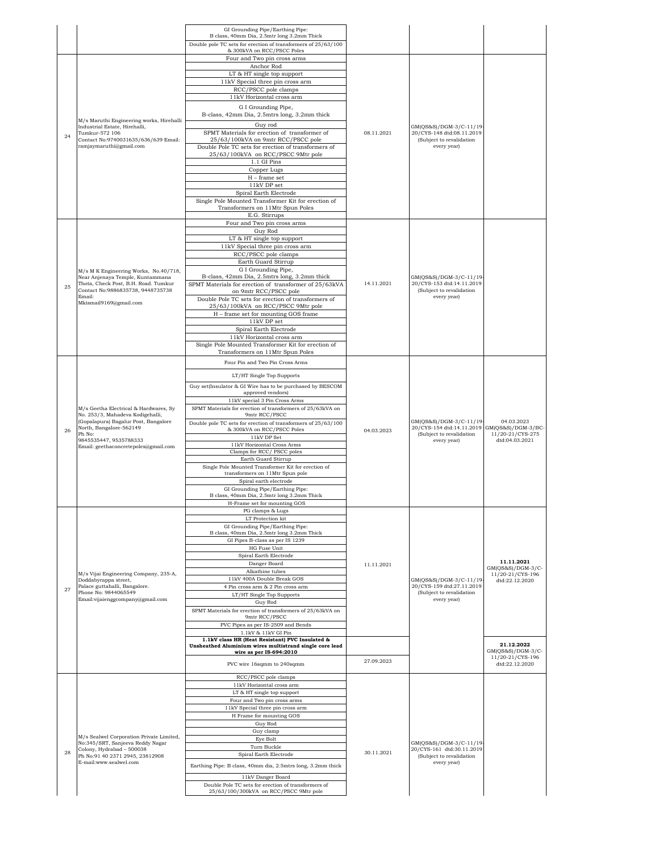|    |                                                                                                                                                                                                                          | GI Grounding Pipe/Earthing Pipe:<br>B class, 40mm Dia, 2.5mtr long 3.2mm Thick                 |            |                                                                                  |                                    |
|----|--------------------------------------------------------------------------------------------------------------------------------------------------------------------------------------------------------------------------|------------------------------------------------------------------------------------------------|------------|----------------------------------------------------------------------------------|------------------------------------|
|    |                                                                                                                                                                                                                          | Double pole TC sets for erection of transformers of 25/63/100<br>& 300kVA on RCC/PSCC Poles    |            |                                                                                  |                                    |
|    |                                                                                                                                                                                                                          | Four and Two pin cross arms<br>Anchor Rod                                                      |            |                                                                                  |                                    |
|    |                                                                                                                                                                                                                          | LT & HT single top support                                                                     |            |                                                                                  |                                    |
|    |                                                                                                                                                                                                                          | 11kV Special three pin cross arm                                                               |            |                                                                                  |                                    |
|    |                                                                                                                                                                                                                          | RCC/PSCC pole clamps<br>11kV Horizontal cross arm                                              |            |                                                                                  |                                    |
|    |                                                                                                                                                                                                                          | G I Grounding Pipe,<br>B-class, 42mm Dia, 2.5mtrs long, 3.2mm thick                            |            |                                                                                  |                                    |
| 24 | M/s Maruthi Engineering works, Hirehalli<br>Industrial Estate, Hirehalli,<br>Tumkur-572 106<br>Contact No:9740031635/636/639 Email:                                                                                      | Guy rod<br>SPMT Materials for erection of transformer of<br>25/63/100kVA on 9mtr RCC/PSCC pole | 08.11.2021 | GM(QS&S)/DGM-3/C-11/19-<br>20/CYS-148 dtd:08.11.2019<br>(Subject to revalidation |                                    |
|    | ramjaymaruthi@gmail.com                                                                                                                                                                                                  | Double Pole TC sets for erection of transformers of                                            |            | every year)                                                                      |                                    |
|    |                                                                                                                                                                                                                          | 25/63/100kVA on RCC/PSCC 9Mtr pole<br>1.1 GI Pins                                              |            |                                                                                  |                                    |
|    |                                                                                                                                                                                                                          | Copper Lugs                                                                                    |            |                                                                                  |                                    |
|    |                                                                                                                                                                                                                          | $H$ – frame set<br>11kV DP set                                                                 |            |                                                                                  |                                    |
|    |                                                                                                                                                                                                                          | Spiral Earth Electrode                                                                         |            |                                                                                  |                                    |
|    |                                                                                                                                                                                                                          | Single Pole Mounted Transformer Kit for erection of<br>Transformers on 11Mtr Spun Poles        |            |                                                                                  |                                    |
|    |                                                                                                                                                                                                                          | E.G. Stirrups<br>Four and Two pin cross arms                                                   |            |                                                                                  |                                    |
|    |                                                                                                                                                                                                                          | Guy Rod                                                                                        |            |                                                                                  |                                    |
|    |                                                                                                                                                                                                                          | LT & HT single top support<br>11kV Special three pin cross arm                                 |            |                                                                                  |                                    |
|    |                                                                                                                                                                                                                          | RCC/PSCC pole clamps                                                                           |            |                                                                                  |                                    |
|    |                                                                                                                                                                                                                          | Earth Guard Stirrup<br>G I Grounding Pipe,                                                     |            |                                                                                  |                                    |
|    | M/s M K Engineering Works, No.40/718,<br>Near Anjenaya Temple, Kuntammana                                                                                                                                                | B-class, 42mm Dia, 2.5mtrs long, 3.2mm thick                                                   |            | GM(QS&S)/DGM-3/C-11/19-                                                          |                                    |
| 25 | Thota, Check Post, B.H. Road. Tumkur<br>Contact No:9886835738, 9448735738                                                                                                                                                | SPMT Materials for erection of transformer of 25/63kVA<br>on 9mtr RCC/PSCC pole                | 14.11.2021 | 20/CYS-153 dtd:14.11.2019<br>(Subject to revalidation                            |                                    |
|    | Email:<br>Mkismail9169@gmail.com                                                                                                                                                                                         | Double Pole TC sets for erection of transformers of                                            |            | every year)                                                                      |                                    |
|    |                                                                                                                                                                                                                          | 25/63/100kVA on RCC/PSCC 9Mtr pole<br>H - frame set for mounting GOS frame                     |            |                                                                                  |                                    |
|    |                                                                                                                                                                                                                          | 11kV DP set                                                                                    |            |                                                                                  |                                    |
|    |                                                                                                                                                                                                                          | Spiral Earth Electrode<br>11kV Horizontal cross arm                                            |            |                                                                                  |                                    |
|    |                                                                                                                                                                                                                          | Single Pole Mounted Transformer Kit for erection of<br>Transformers on 11Mtr Spun Poles        |            |                                                                                  |                                    |
|    |                                                                                                                                                                                                                          | Four Pin and Two Pin Cross Arms                                                                |            |                                                                                  |                                    |
|    | M/s Geetha Electrical & Hardwares, Sy<br>No. 253/3, Mahadeva Kodigehalli,<br>(Gopalapura) Bagalur Post, Bangalore<br>North, Bangalore-562149<br>Ph No:<br>9845535447, 9535788333<br>Email: geethaconcretepoles@gmail.com | LT/HT Single Top Supports                                                                      |            |                                                                                  |                                    |
|    |                                                                                                                                                                                                                          | Guy set(Insulator & GI Wire has to be purchased by BESCOM                                      |            |                                                                                  |                                    |
|    |                                                                                                                                                                                                                          | approved vendors)                                                                              |            |                                                                                  |                                    |
|    |                                                                                                                                                                                                                          | 11kV special 3 Pin Cross Arms<br>SPMT Materials for erection of transformers of 25/63kVA on    |            |                                                                                  |                                    |
|    |                                                                                                                                                                                                                          | 9mtr RCC/PSCC<br>Double pole TC sets for erection of transformers of 25/63/100                 |            | GM(QS&S)/DGM-3/C-11/19-                                                          | 04.03.2023                         |
| 26 |                                                                                                                                                                                                                          | & 300kVA on RCC/PSCC Poles                                                                     | 04.03.2023 | 20/CYS-154 dtd:14.11.2019 GM(QS&S)/DGM-3/BC-<br>(Subject to revalidation         | 11/20-21/CYS-275                   |
|    |                                                                                                                                                                                                                          | 11kV DP Set<br>11kV Horizontal Cross Arms                                                      |            | every year)                                                                      | dtd:04.03.2021                     |
|    |                                                                                                                                                                                                                          | Clamps for RCC/PSCC poles<br>Earth Guard Stirrup                                               |            |                                                                                  |                                    |
|    |                                                                                                                                                                                                                          | Single Pole Mounted Transformer Kit for erection of                                            |            |                                                                                  |                                    |
|    |                                                                                                                                                                                                                          | transformers on 11Mtr Spun pole<br>Spiral earth electrode                                      |            |                                                                                  |                                    |
|    |                                                                                                                                                                                                                          | GI Grounding Pipe/Earthing Pipe:<br>B class, 40mm Dia, 2.5mtr long 3.2mm Thick                 |            |                                                                                  |                                    |
|    |                                                                                                                                                                                                                          | H-Frame set for mounting GOS                                                                   |            |                                                                                  |                                    |
|    |                                                                                                                                                                                                                          | PG clamps & Lugs<br>LT Protection kit                                                          |            |                                                                                  |                                    |
|    |                                                                                                                                                                                                                          | GI Grounding Pipe/Earthing Pipe:                                                               |            |                                                                                  |                                    |
|    |                                                                                                                                                                                                                          | B class, 40mm Dia, 2.5mtr long 3.2mm Thick<br>GI Pipes B-class as per IS 1239                  |            |                                                                                  |                                    |
|    |                                                                                                                                                                                                                          | HG Fuse Unit<br>Spiral Earth Electrode                                                         |            |                                                                                  |                                    |
|    |                                                                                                                                                                                                                          | Danger Board                                                                                   | 11.11.2021 |                                                                                  | 11.11.2021<br>$GM(QS&S)/DGM-3/C-$  |
|    | M/s Vijai Engineering Company, 235-A,<br>Doddabyrappa street,                                                                                                                                                            | Alkathine tubes<br>11kV 400A Double Break GOS                                                  |            | GM(QS&S)/DGM-3/C-11/19                                                           | 11/20-21/CYS-196<br>dtd:22.12.2020 |
| 27 | Palace guttahalli, Bangalore.<br>Phone No: 9844065549                                                                                                                                                                    | 4 Pin cross arm & 2 Pin cross arm                                                              |            | 20/CYS-159 dtd:27.11.2019<br>(Subject to revalidation                            |                                    |
|    | Email:vijaienggcompany@gmail.com                                                                                                                                                                                         | LT/HT Single Top Supports<br>Guy Rod                                                           |            | every year)                                                                      |                                    |
|    |                                                                                                                                                                                                                          | SPMT Materials for erection of transformers of 25/63kVA on<br>9mtr RCC/PSCC                    |            |                                                                                  |                                    |
|    |                                                                                                                                                                                                                          | PVC Pipes as per IS-2509 and Bends                                                             |            |                                                                                  |                                    |
|    |                                                                                                                                                                                                                          | $1.1\mathrm{kV}$ & $11\mathrm{kV}$ GI Pin<br>1.1kV class HR (Heat Resistant) PVC Insulated &   |            |                                                                                  |                                    |
|    |                                                                                                                                                                                                                          | Unsheathed Aluminium wires multistrand single core lead<br>wire as per IS-694:2010             |            |                                                                                  | 21.12.2022<br>$GM(QS&S)/DGM-3/C-$  |
|    |                                                                                                                                                                                                                          | PVC wire 16sqmm to 240sqmm                                                                     | 27.09.2023 |                                                                                  | 11/20-21/CYS-196<br>dtd:22.12.2020 |
|    |                                                                                                                                                                                                                          | RCC/PSCC pole clamps                                                                           |            |                                                                                  |                                    |
|    |                                                                                                                                                                                                                          | 11kV Horizontal cross arm<br>LT & HT single top support                                        |            |                                                                                  |                                    |
|    |                                                                                                                                                                                                                          | Four and Two pin cross arms                                                                    |            |                                                                                  |                                    |
|    |                                                                                                                                                                                                                          | 11kV Special three pin cross arm<br>H Frame for mounting GOS                                   |            |                                                                                  |                                    |
|    |                                                                                                                                                                                                                          | Guy Rod                                                                                        |            |                                                                                  |                                    |
|    | M/s Sealwel Corporation Private Limited,                                                                                                                                                                                 | Guy clamp<br>Eye Bolt                                                                          |            |                                                                                  |                                    |
| 28 | No:345/SRT, Sanjeeva Reddy Nagar<br>Colony, Hydrabad - 500038                                                                                                                                                            | Turn Buckle<br>Spiral Earth Electrode                                                          | 30.11.2021 | GM(QS&S)/DGM-3/C-11/19<br>20/CYS-161 dtd:30.11.2019                              |                                    |
|    | Ph No:91 40 2371 2945, 23812908<br>E-mail:www.sealwel.com                                                                                                                                                                | Earthing Pipe: B class, 40mm dia, 2.5mtrs long, 3.2mm thick                                    |            | (Subject to revalidation<br>every year)                                          |                                    |
|    |                                                                                                                                                                                                                          | 11kV Danger Board                                                                              |            |                                                                                  |                                    |
|    |                                                                                                                                                                                                                          | Double Pole TC sets for erection of transformers of                                            |            |                                                                                  |                                    |
|    |                                                                                                                                                                                                                          | 25/63/100/300kVA on RCC/PSCC 9Mtr pole                                                         |            |                                                                                  |                                    |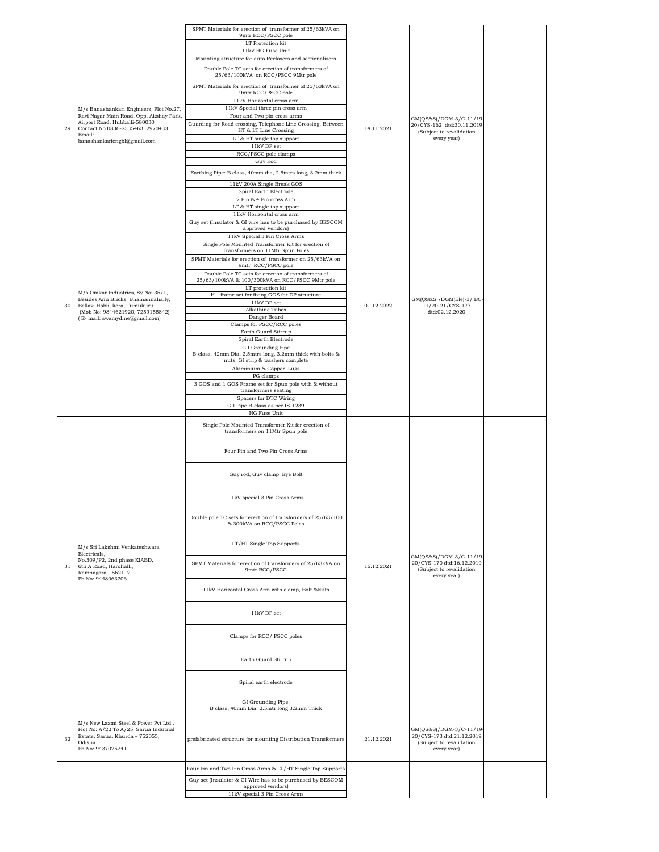|    |                                                                                    | SPMT Materials for erection of transformer of 25/63kVA on<br>9mtr RCC/PSCC pole                        |            |                                                       |  |
|----|------------------------------------------------------------------------------------|--------------------------------------------------------------------------------------------------------|------------|-------------------------------------------------------|--|
|    |                                                                                    | LT Protection kit<br>11kV HG Fuse Unit                                                                 |            |                                                       |  |
|    |                                                                                    | Mounting structure for auto Reclosers and sectionalisers                                               |            |                                                       |  |
|    |                                                                                    | Double Pole TC sets for erection of transformers of<br>25/63/100kVA on RCC/PSCC 9Mtr pole              |            |                                                       |  |
|    |                                                                                    | SPMT Materials for erection of transformer of 25/63kVA on<br>9mtr RCC/PSCC pole                        |            |                                                       |  |
|    |                                                                                    | 11kV Horizontal cross arm                                                                              |            |                                                       |  |
|    | M/s Banashankari Engineers, Plot No.27,<br>Ravi Nagar Main Road, Opp. Akshay Park, | 11kV Special three pin cross arm<br>Four and Two pin cross arms                                        |            |                                                       |  |
|    | Airport Road, Hubballi-580030                                                      | Guarding for Road crossing, Telephone Line Crossing, Between                                           |            | GM(QS&S)/DGM-3/C-11/19-<br>20/CYS-162 dtd:30.11.2019  |  |
| 29 | Contact No:0836-2335463, 2970433<br>Email:                                         | HT & LT Line Crossing<br>LT & HT single top support                                                    | 14.11.2021 | (Subject to revalidation<br>every year)               |  |
|    | banashankarienghl@gmail.com                                                        | $11\mathrm{kV}$ DP set                                                                                 |            |                                                       |  |
|    |                                                                                    | RCC/PSCC pole clamps<br>Guy Rod                                                                        |            |                                                       |  |
|    |                                                                                    | Earthing Pipe: B class, 40mm dia, 2.5mtrs long, 3.2mm thick                                            |            |                                                       |  |
|    |                                                                                    | 11kV 200A Single Break GOS                                                                             |            |                                                       |  |
|    |                                                                                    | Spiral Earth Electrode                                                                                 |            |                                                       |  |
|    |                                                                                    | 2 Pin & 4 Pin cross Arm<br>LT & HT single top support                                                  |            |                                                       |  |
|    |                                                                                    | 11kV Horizontal cross arm                                                                              |            |                                                       |  |
|    |                                                                                    | Guy set (Insulator & GI wire has to be purchased by BESCOM<br>approved Vendors)                        |            |                                                       |  |
|    |                                                                                    | 11kV Special 3 Pin Cross Arms                                                                          |            |                                                       |  |
|    |                                                                                    | Single Pole Mounted Transformer Kit for erection of<br>Transformers on 11Mtr Spun Poles                |            |                                                       |  |
|    |                                                                                    | SPMT Materials for erection of transformer on 25/63kVA on                                              |            |                                                       |  |
|    |                                                                                    | 9mtr RCC/PSCC pole                                                                                     |            |                                                       |  |
|    |                                                                                    | Double Pole TC sets for erection of transformers of<br>25/63/100kVA & 100/300kVA on RCC/PSCC 9Mtr pole |            |                                                       |  |
|    | M/s Omkar Industries, Sy No: 35/1,                                                 | LT protection kit<br>H - frame set for fixing GOS for DP structure                                     |            |                                                       |  |
| 30 | Besides Anu Bricks, Bhamannahally,<br>Bellavi Hobli, kora, Tumukuru                | 11kV DP set                                                                                            | 01.12.2022 | GM(QS&S)/DGM(Ele)-3/ BC-                              |  |
|    | (Mob No: 9844621920, 7259155842)                                                   | Alkathine Tubes<br>Danger Board                                                                        |            | 11/20-21/CYS-177<br>dtd:02.12.2020                    |  |
|    | (E- mail: swamydine@gmail.com)                                                     | Clamps for PSCC/RCC poles                                                                              |            |                                                       |  |
|    |                                                                                    | Earth Guard Stirrup<br>Spiral Earth Electrode                                                          |            |                                                       |  |
|    |                                                                                    | G I Grounding Pipe                                                                                     |            |                                                       |  |
|    |                                                                                    | B-class, 42mm Dia, 2.5mtrs long, 3.2mm thick with bolts &<br>nuts, GI strip & washers complete         |            |                                                       |  |
|    |                                                                                    | Aluminium & Copper Lugs                                                                                |            |                                                       |  |
|    |                                                                                    | PG clamps<br>3 GOS and 1 GOS Frame set for Spun pole with & without                                    |            |                                                       |  |
|    |                                                                                    | transformers seating                                                                                   |            |                                                       |  |
|    |                                                                                    | Spacers for DTC Wiring<br>G.I.Pipe B-class as per IS-1239                                              |            |                                                       |  |
|    |                                                                                    | HG Fuse Unit                                                                                           |            |                                                       |  |
|    |                                                                                    | Single Pole Mounted Transformer Kit for erection of<br>transformers on 11Mtr Spun pole                 |            |                                                       |  |
|    |                                                                                    |                                                                                                        |            |                                                       |  |
|    |                                                                                    | Four Pin and Two Pin Cross Arms                                                                        |            |                                                       |  |
|    |                                                                                    |                                                                                                        |            |                                                       |  |
|    |                                                                                    | Guy rod, Guy clamp, Eye Bolt                                                                           |            |                                                       |  |
|    |                                                                                    |                                                                                                        |            |                                                       |  |
|    |                                                                                    | 11kV special 3 Pin Cross Arms                                                                          |            |                                                       |  |
|    |                                                                                    |                                                                                                        |            |                                                       |  |
|    |                                                                                    | Double pole TC sets for erection of transformers of 25/63/100<br>& 300kVA on RCC/PSCC Poles            |            |                                                       |  |
|    |                                                                                    |                                                                                                        |            |                                                       |  |
|    | M/s Sri Lakshmi Venkateshwara                                                      | LT/HT Single Top Supports                                                                              |            |                                                       |  |
|    | Electricals,<br>No.309/P2, 2nd phase KIABD,                                        |                                                                                                        |            | GM(QS&S)/DGM-3/C-11/19-                               |  |
| 31 | 6th A Road, Harohalli,<br>Ramnagara - 562112                                       | SPMT Materials for erection of transformers of 25/63kVA on<br>9mtr RCC/PSCC                            | 16.12.2021 | 20/CYS-170 dtd:16.12.2019<br>(Subject to revalidation |  |
|    | Ph No: 9448063206                                                                  |                                                                                                        |            | every year)                                           |  |
|    |                                                                                    | 11kV Horizontal Cross Arm with clamp, Bolt &Nuts                                                       |            |                                                       |  |
|    |                                                                                    |                                                                                                        |            |                                                       |  |
|    |                                                                                    |                                                                                                        |            |                                                       |  |
|    |                                                                                    | 11kV DP set                                                                                            |            |                                                       |  |
|    |                                                                                    |                                                                                                        |            |                                                       |  |
|    |                                                                                    | Clamps for RCC/PSCC poles                                                                              |            |                                                       |  |
|    |                                                                                    |                                                                                                        |            |                                                       |  |
|    |                                                                                    | Earth Guard Stirrup                                                                                    |            |                                                       |  |
|    |                                                                                    | Spiral earth electrode                                                                                 |            |                                                       |  |
|    |                                                                                    |                                                                                                        |            |                                                       |  |
|    |                                                                                    | GI Grounding Pipe:                                                                                     |            |                                                       |  |
|    |                                                                                    | B class, 40mm Dia, 2.5mtr long 3.2mm Thick                                                             |            |                                                       |  |
|    | M/s New Laxmi Steel & Power Pvt Ltd.,<br>Plot No: A/22 To A/25, Sarua Indutrial    |                                                                                                        |            | GM(QS&S)/DGM-3/C-11/19-                               |  |
| 32 | Estate, Sarua, Khurda - 752055,<br>Odisha                                          | prefabricated structure for mounting Distribution Transformers                                         | 21.12.2021 | 20/CYS-173 dtd:21.12.2019<br>(Subject to revalidation |  |
|    | Ph No: 9437025241                                                                  |                                                                                                        |            | every year)                                           |  |
|    |                                                                                    |                                                                                                        |            |                                                       |  |
|    |                                                                                    | Four Pin and Two Pin Cross Arms & LT/HT Single Top Supports                                            |            |                                                       |  |
|    |                                                                                    | Guy set (Insulator & GI Wire has to be purchased by BESCOM<br>approved vendors)                        |            |                                                       |  |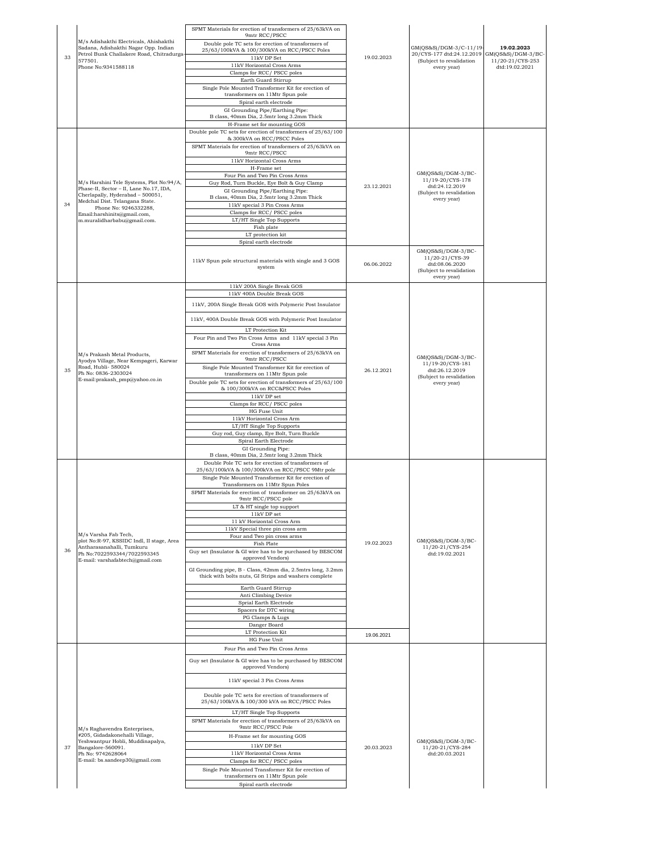|    | M/s Adishakthi Electricals, Ahishakthi                                                                                                                | 9mtr RCC/PSCC<br>Double pole TC sets for erection of transformers of                                                 |            |                                                                                                    |                                    |
|----|-------------------------------------------------------------------------------------------------------------------------------------------------------|----------------------------------------------------------------------------------------------------------------------|------------|----------------------------------------------------------------------------------------------------|------------------------------------|
|    | Sadana, Adishakthi Nagar Opp. Indian<br>Petrol Bunk Challakere Road, Chitradurga-                                                                     | 25/63/100kVA & 100/300kVA on RCC/PSCC Poles                                                                          |            | GM(QS&S)/DGM-3/C-11/19-<br>20/CYS-177 dtd:24.12.2019 GM(QS&S)/DGM-3/BC-                            | 19.02.2023                         |
| 33 | 577501.<br>Phone No:9341588118                                                                                                                        | 11kV DP Set<br>11kV Horizontal Cross Arms                                                                            | 19.02.2023 | (Subject to revalidation<br>every year)                                                            | 11/20-21/CYS-253<br>dtd:19.02.2021 |
|    |                                                                                                                                                       | Clamps for RCC/PSCC poles                                                                                            |            |                                                                                                    |                                    |
|    |                                                                                                                                                       | Earth Guard Stirrup<br>Single Pole Mounted Transformer Kit for erection of                                           |            |                                                                                                    |                                    |
|    |                                                                                                                                                       | transformers on 11Mtr Spun pole<br>Spiral earth electrode                                                            |            |                                                                                                    |                                    |
|    |                                                                                                                                                       | GI Grounding Pipe/Earthing Pipe:                                                                                     |            |                                                                                                    |                                    |
|    |                                                                                                                                                       | B class, 40mm Dia, 2.5mtr long 3.2mm Thick<br>H-Frame set for mounting GOS                                           |            |                                                                                                    |                                    |
|    |                                                                                                                                                       | Double pole TC sets for erection of transformers of 25/63/100<br>& 300kVA on RCC/PSCC Poles                          |            |                                                                                                    |                                    |
|    |                                                                                                                                                       | SPMT Materials for erection of transformers of 25/63kVA on                                                           |            |                                                                                                    |                                    |
|    |                                                                                                                                                       | 9mtr RCC/PSCC<br>11kV Horizontal Cross Arms                                                                          |            |                                                                                                    |                                    |
|    |                                                                                                                                                       | H-Frame set<br>Four Pin and Two Pin Cross Arms                                                                       |            | GM(QS&S)/DGM-3/BC-                                                                                 |                                    |
|    | M/s Harshini Tele Systems, Plot No:94/A,<br>Phase-II, Sector - II, Lane No.17, IDA,                                                                   | Guy Rod, Turn Buckle, Eye Bolt & Guy Clamp                                                                           | 23.12.2021 | 11/19-20/CYS-178<br>dtd:24.12.2019                                                                 |                                    |
|    | Cherlapally, Hyderabad - 500051,                                                                                                                      | GI Grounding Pipe/Earthing Pipe:<br>B class, 40mm Dia, 2.5mtr long 3.2mm Thick                                       |            | (Subject to revalidation<br>every year)                                                            |                                    |
| 34 | Medchal Dist. Telangana State.<br>Phone No: 9246332288,                                                                                               | 11kV special 3 Pin Cross Arms<br>Clamps for RCC/ PSCC poles                                                          |            |                                                                                                    |                                    |
|    | Email:harshinits@gmail.com,<br>m.muralidharbabu@gmail.com.                                                                                            | LT/HT Single Top Supports                                                                                            |            |                                                                                                    |                                    |
|    |                                                                                                                                                       | Fish plate<br>LT protection kit                                                                                      |            |                                                                                                    |                                    |
|    |                                                                                                                                                       | Spiral earth electrode                                                                                               |            |                                                                                                    |                                    |
|    |                                                                                                                                                       | 11kV Spun pole structural materials with single and 3 GOS<br>system                                                  | 06.06.2022 | GM(QS&S)/DGM-3/BC-<br>11/20-21/CYS-39<br>dtd:08.06.2020<br>(Subject to revalidation<br>every year) |                                    |
|    |                                                                                                                                                       | 11kV 200A Single Break GOS                                                                                           |            |                                                                                                    |                                    |
|    |                                                                                                                                                       | 11kV 400A Double Break GOS                                                                                           |            |                                                                                                    |                                    |
|    |                                                                                                                                                       | 11kV, 200A Single Break GOS with Polymeric Post Insulator                                                            |            |                                                                                                    |                                    |
|    |                                                                                                                                                       | 11kV, 400A Double Break GOS with Polymeric Post Insulator                                                            |            |                                                                                                    |                                    |
|    | M/s Prakash Metal Products,<br>Ayodya Village, Near Kempageri, Karwar<br>Road, Hubli- 580024<br>Ph No: 0836-2303024<br>E-mail:prakash_pmp@yahoo.co.in | LT Protection Kit<br>Four Pin and Two Pin Cross Arms and 11kV special 3 Pin<br>Cross Arms                            |            |                                                                                                    |                                    |
|    |                                                                                                                                                       | SPMT Materials for erection of transformers of 25/63kVA on                                                           |            |                                                                                                    |                                    |
|    |                                                                                                                                                       | 9mtr RCC/PSCC<br>Single Pole Mounted Transformer Kit for erection of                                                 |            | GM(QS&S)/DGM-3/BC-<br>11/19-20/CYS-181                                                             |                                    |
| 35 |                                                                                                                                                       | transformers on 11Mtr Spun pole                                                                                      | 26.12.2021 | dtd:26.12.2019<br>(Subject to revalidation                                                         |                                    |
|    |                                                                                                                                                       | Double pole TC sets for erection of transformers of 25/63/100<br>& 100/300kVA on RCC&PSCC Poles                      |            | every year)                                                                                        |                                    |
|    |                                                                                                                                                       | $11\mathrm{kV}$ DP set<br>Clamps for RCC/ PSCC poles                                                                 |            |                                                                                                    |                                    |
|    |                                                                                                                                                       | HG Fuse Unit                                                                                                         |            |                                                                                                    |                                    |
|    |                                                                                                                                                       | 11kV Horizontal Cross Arm<br>LT/HT Single Top Supports                                                               |            |                                                                                                    |                                    |
|    |                                                                                                                                                       | Guy rod, Guy clamp, Eye Bolt, Turn Buckle<br>Spiral Earth Electrode                                                  |            |                                                                                                    |                                    |
|    |                                                                                                                                                       | GI Grounding Pipe:                                                                                                   |            |                                                                                                    |                                    |
|    |                                                                                                                                                       | B class, 40mm Dia, 2.5mtr long 3.2mm Thick<br>Double Pole TC sets for erection of transformers of                    |            |                                                                                                    |                                    |
|    |                                                                                                                                                       | 25/63/100kVA & 100/300kVA on RCC/PSCC 9Mtr pole<br>Single Pole Mounted Transformer Kit for erection of               |            |                                                                                                    |                                    |
|    |                                                                                                                                                       | Transformers on 11Mtr Spun Poles                                                                                     |            |                                                                                                    |                                    |
|    |                                                                                                                                                       | SPMT Materials for erection of transformer on 25/63kVA on<br>9mtr RCC/PSCC pole                                      |            |                                                                                                    |                                    |
|    |                                                                                                                                                       | LT & HT single top support                                                                                           |            |                                                                                                    |                                    |
|    |                                                                                                                                                       | 11kV DP set<br>11 kV Horizontal Cross Arm                                                                            |            |                                                                                                    |                                    |
|    | M/s Varsha Fab Tech,                                                                                                                                  | 11kV Special three pin cross arm<br>Four and Two pin cross arms                                                      |            |                                                                                                    |                                    |
|    | plot No:R-97, KSSIDC Indl, II stage, Area<br>Antharasanahalli, Tumkuru                                                                                | Fish Plate                                                                                                           | 19.02.2023 | GM(QS&S)/DGM-3/BC-<br>11/20-21/CYS-254                                                             |                                    |
| 36 | Ph No:7022593344/7022593345<br>E-mail: varshafabtech@gmail.com                                                                                        | Guy set (Insulator & GI wire has to be purchased by BESCOM<br>approved Vendors)                                      |            | dtd:19.02.2021                                                                                     |                                    |
|    |                                                                                                                                                       | GI Grounding pipe, B - Class, 42mm dia, 2.5mtrs long, 3.2mm<br>thick with bolts nuts, GI Strips and washers complete |            |                                                                                                    |                                    |
|    |                                                                                                                                                       | Earth Guard Stirrup<br>Anti Climbing Device                                                                          |            |                                                                                                    |                                    |
|    |                                                                                                                                                       | Sprial Earth Electrode<br>Spacers for DTC wiring                                                                     |            |                                                                                                    |                                    |
|    |                                                                                                                                                       | PG Clamps & Lugs                                                                                                     |            |                                                                                                    |                                    |
|    |                                                                                                                                                       | Danger Board<br>LT Protection Kit                                                                                    |            |                                                                                                    |                                    |
|    |                                                                                                                                                       | HG Fuse Unit                                                                                                         | 19.06.2021 |                                                                                                    |                                    |
|    |                                                                                                                                                       | Four Pin and Two Pin Cross Arms                                                                                      |            |                                                                                                    |                                    |
|    |                                                                                                                                                       | Guy set (Insulator & GI wire has to be purchased by BESCOM<br>approved Vendors)                                      |            |                                                                                                    |                                    |
|    |                                                                                                                                                       | 11kV special 3 Pin Cross Arms                                                                                        |            |                                                                                                    |                                    |
|    |                                                                                                                                                       | Double pole TC sets for erection of transformers of<br>25/63/100kVA & 100/300 kVA on RCC/PSCC Poles                  |            |                                                                                                    |                                    |
|    |                                                                                                                                                       | LT/HT Single Top Supports<br>SPMT Materials for erection of transformers of 25/63kVA on                              |            |                                                                                                    |                                    |
|    | M/s Raghavendra Enterprises,                                                                                                                          | 9mtr RCC/PSCC Pole                                                                                                   |            |                                                                                                    |                                    |
|    | #205, Gidadakonehalli Village,<br>Yeshwantpur Hobli, Muddinapalya,                                                                                    | H-Frame set for mounting GOS                                                                                         |            | $GM(QS&S)/DGM-3/BC-$                                                                               |                                    |
| 37 | Bangalore-560091.<br>Ph No: 9742628064                                                                                                                | 11kV DP Set<br>11kV Horizontal Cross Arms                                                                            | 20.03.2023 | 11/20-21/CYS-284<br>dtd:20.03.2021                                                                 |                                    |
|    | E-mail: bs.sandeep30@gmail.com                                                                                                                        | Clamps for RCC/PSCC poles                                                                                            |            |                                                                                                    |                                    |
|    |                                                                                                                                                       | Single Pole Mounted Transformer Kit for erection of                                                                  |            |                                                                                                    |                                    |
|    |                                                                                                                                                       | transformers on 11Mtr Spun pole                                                                                      |            |                                                                                                    |                                    |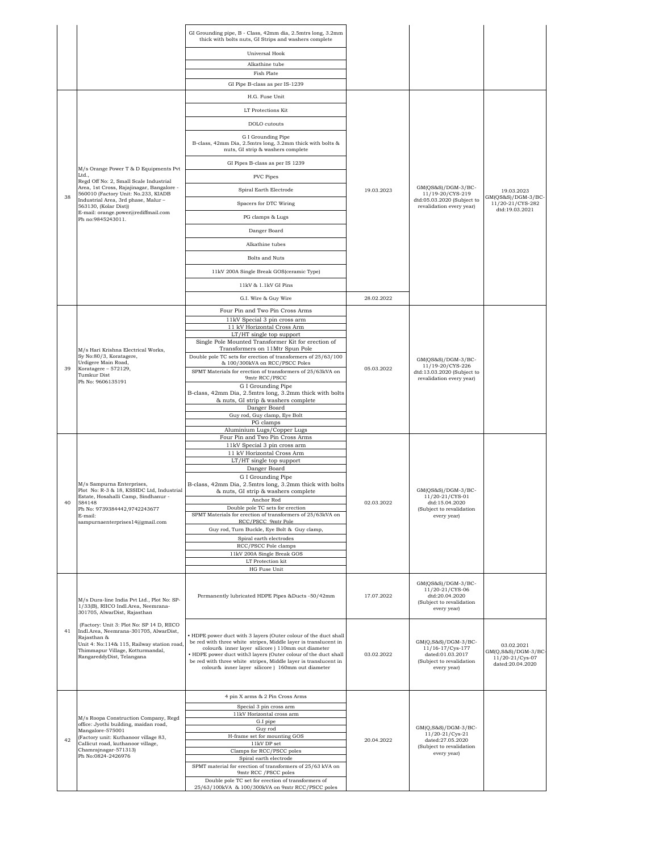|    |                                                                                                                   | GI Grounding pipe, B - Class, 42mm dia, 2.5mtrs long, 3.2mm<br>thick with bolts nuts, GI Strips and washers complete              |            |                                                                                                      |                                        |
|----|-------------------------------------------------------------------------------------------------------------------|-----------------------------------------------------------------------------------------------------------------------------------|------------|------------------------------------------------------------------------------------------------------|----------------------------------------|
|    |                                                                                                                   | Universal Hook                                                                                                                    |            |                                                                                                      |                                        |
|    |                                                                                                                   | Alkathine tube                                                                                                                    |            |                                                                                                      |                                        |
|    |                                                                                                                   | Fish Plate                                                                                                                        |            |                                                                                                      |                                        |
|    |                                                                                                                   | GI Pipe B-class as per IS-1239                                                                                                    |            |                                                                                                      |                                        |
|    |                                                                                                                   | H.G. Fuse Unit                                                                                                                    |            |                                                                                                      |                                        |
|    |                                                                                                                   | LT Protections Kit                                                                                                                |            |                                                                                                      |                                        |
|    |                                                                                                                   | DOLO cutouts                                                                                                                      |            |                                                                                                      |                                        |
|    |                                                                                                                   | G I Grounding Pipe<br>B-class, 42mm Dia, 2.5mtrs long, 3.2mm thick with bolts &<br>nuts, GI strip & washers complete              |            |                                                                                                      |                                        |
|    | M/s Orange Power T & D Equipments Pvt                                                                             | GI Pipes B-class as per IS 1239                                                                                                   |            |                                                                                                      |                                        |
|    | Ltd.,<br>Regd Off No: 2, Small Scale Industrial                                                                   | <b>PVC</b> Pipes                                                                                                                  |            |                                                                                                      |                                        |
|    | Area, 1st Cross, Rajajinagar, Bangalore -<br>560010 (Factory Unit: No.233, KIADB                                  | Spiral Earth Electrode                                                                                                            | 19.03.2023 | GM(QS&S)/DGM-3/BC-<br>11/19-20/CYS-219                                                               | 19.03.2023                             |
| 38 | Industrial Area, 3rd phase, Malur-<br>563130, (Kolar Dist))                                                       | Spacers for DTC Wiring                                                                                                            |            | dtd:05.03.2020 (Subject to<br>revalidation every year)                                               | GM(QS&S)/DGM-3/BC-<br>11/20-21/CYS-282 |
|    | E-mail: orange.power@rediffmail.com<br>Ph no:9845243011.                                                          | PG clamps & Lugs                                                                                                                  |            |                                                                                                      | dtd:19.03.2021                         |
|    |                                                                                                                   | Danger Board                                                                                                                      |            |                                                                                                      |                                        |
|    |                                                                                                                   | Alkathine tubes                                                                                                                   |            |                                                                                                      |                                        |
|    |                                                                                                                   | <b>Bolts and Nuts</b>                                                                                                             |            |                                                                                                      |                                        |
|    |                                                                                                                   | 11kV 200A Single Break GOS(ceramic Type)                                                                                          |            |                                                                                                      |                                        |
|    |                                                                                                                   |                                                                                                                                   |            |                                                                                                      |                                        |
|    |                                                                                                                   | 11kV & 1.1kV GI Pins                                                                                                              |            |                                                                                                      |                                        |
|    |                                                                                                                   | G.I. Wire & Guy Wire                                                                                                              | 28.02.2022 |                                                                                                      |                                        |
|    |                                                                                                                   | Four Pin and Two Pin Cross Arms<br>11kV Special 3 pin cross arm                                                                   |            |                                                                                                      |                                        |
|    |                                                                                                                   | 11 kV Horizontal Cross Arm<br>LT/HT single top support                                                                            |            |                                                                                                      |                                        |
|    |                                                                                                                   | Single Pole Mounted Transformer Kit for erection of                                                                               |            |                                                                                                      |                                        |
|    | M/s Hari Krishna Electrical Works,<br>Sy No:80/3, Koratagere,                                                     | Transformers on 11Mtr Spun Pole<br>Double pole TC sets for erection of transformers of 25/63/100                                  |            | GM(OS&S)/DGM-3/BC-                                                                                   |                                        |
| 39 | Urdigere Main Road,<br>Koratagere - 572129,                                                                       | & 100/300kVA on RCC/PSCC Poles                                                                                                    | 05.03.2022 | 11/19-20/CYS-226                                                                                     |                                        |
|    | Tumkur Dist<br>Ph No: 9606135191                                                                                  | SPMT Materials for erection of transformers of 25/63kVA on<br>9mtr RCC/PSCC                                                       |            | dtd:13.03.2020 (Subject to<br>revalidation every year)                                               |                                        |
|    |                                                                                                                   | G I Grounding Pipe<br>B-class, 42mm Dia, 2.5mtrs long, 3.2mm thick with bolts                                                     |            |                                                                                                      |                                        |
|    |                                                                                                                   | & nuts, GI strip & washers complete<br>Danger Board                                                                               |            |                                                                                                      |                                        |
|    |                                                                                                                   | Guy rod, Guy clamp, Eye Bolt                                                                                                      |            |                                                                                                      |                                        |
|    |                                                                                                                   | PG clamps<br>Aluminium Lugs/Copper Lugs                                                                                           |            |                                                                                                      |                                        |
|    |                                                                                                                   | Four Pin and Two Pin Cross Arms                                                                                                   |            |                                                                                                      |                                        |
|    |                                                                                                                   | 11kV Special 3 pin cross arm<br>11 kV Horizontal Cross Arm                                                                        |            |                                                                                                      |                                        |
|    |                                                                                                                   | LT/HT single top support                                                                                                          |            |                                                                                                      |                                        |
|    |                                                                                                                   | Danger Board<br>G I Grounding Pipe                                                                                                |            |                                                                                                      |                                        |
|    | M/s Sampurna Enterprises,<br>Plot No: R-3 & 18, KSSIDC Ltd, Industrial                                            | B-class, 42mm Dia, 2.5mtrs long, 3.2mm thick with bolts<br>& nuts, GI strip & washers complete                                    |            | GM(QS&S)/DGM-3/BC-                                                                                   |                                        |
| 40 | Estate, Hosahalli Camp, Sindhanur -<br>584148                                                                     | Anchor Rod                                                                                                                        | 02.03.2022 | 11/20-21/CYS-01<br>dtd:15.04.2020                                                                    |                                        |
|    | Ph No: 9739384442,9742243677<br>E-mail:                                                                           | Double pole TC sets for erection<br>SPMT Materials for erection of transformers of 25/63kVA on                                    |            | (Subject to revalidation<br>every year)                                                              |                                        |
|    | sampurnaenterprises14@gmail.com                                                                                   | RCC/PSCC 9mtr Pole<br>Guy rod, Turn Buckle, Eye Bolt & Guy clamp,                                                                 |            |                                                                                                      |                                        |
|    |                                                                                                                   | Spiral earth electrodes                                                                                                           |            |                                                                                                      |                                        |
|    |                                                                                                                   | RCC/PSCC Pole clamps<br>11kV 200A Single Break GOS                                                                                |            |                                                                                                      |                                        |
|    |                                                                                                                   | LT Protection kit                                                                                                                 |            |                                                                                                      |                                        |
|    |                                                                                                                   | HG Fuse Unit                                                                                                                      |            |                                                                                                      |                                        |
|    | M/s Dura-line India Pvt Ltd., Plot No: SP-<br>1/33(B), RIICO Indl.Area, Neemrana-<br>301705, AlwarDist, Rajasthan | Permanently lubricated HDPE Pipes &Ducts -50/42mm                                                                                 | 17.07.2022 | $GM(QS&S)/DGM-3/BC-$<br>11/20-21/CYS-06<br>dtd:20.04.2020<br>(Subject to revalidation<br>every year) |                                        |
|    | (Factory: Unit 3: Plot No: SP 14 D, RIICO                                                                         |                                                                                                                                   |            |                                                                                                      |                                        |
| 41 | Indl.Area, Neemrana-301705, AlwarDist,<br>Rajasthan &                                                             | HDPE power duct with 3 layers (Outer colour of the duct shall                                                                     |            |                                                                                                      |                                        |
|    | Unit 4: No:114& 115, Railway station road,<br>Thimmapur Village, Kotturmandal,                                    | be red with three white stripes, Middle layer is translucent in<br>colour& inner layer silicore ) 110mm out diameter              |            | GM(Q,S&S)/DGM-3/BC-<br>11/16-17/Cys-177                                                              | 03.02.2021<br>$GM(Q, S&S)/DGM-3/BC$    |
|    | RangareddyDist, Telangana                                                                                         | . HDPE power duct with3 layers (Outer colour of the duct shall<br>be red with three white stripes, Middle layer is translucent in | 03.02.2022 | dated:01.03.2017<br>(Subject to revalidation                                                         | 11/20-21/Cys-07<br>dated:20.04.2020    |
|    |                                                                                                                   | colour& inner layer silicore) 160mm out diameter                                                                                  |            | every year)                                                                                          |                                        |
|    |                                                                                                                   |                                                                                                                                   |            |                                                                                                      |                                        |
|    |                                                                                                                   | 4 pin X arms & 2 Pin Cross Arms                                                                                                   |            |                                                                                                      |                                        |
|    |                                                                                                                   | Special 3 pin cross arm<br>11kV Horizontal cross arm                                                                              |            |                                                                                                      |                                        |
|    | M/s Roopa Construction Company, Regd<br>office: Jyothi building, maidan road,                                     | G.I pipe                                                                                                                          |            |                                                                                                      |                                        |
|    | Mangalore-575001<br>(Factory unit: Kuthanoor village 83,                                                          | Guy rod<br>H-frame set for mounting GOS                                                                                           |            | $GM(Q,S&S)/DGM-3/BC-$<br>11/20-21/Cys-21                                                             |                                        |
| 42 | Callicut road, kuthanoor village,<br>Chamrajnagar-571313)                                                         | $11\mathrm{kV}$ DP set<br>Clamps for RCC/PSCC poles                                                                               | 20.04.2022 | dated:27.05.2020<br>(Subject to revalidation                                                         |                                        |
|    | Ph No:0824-2426976                                                                                                | Spiral earth electrode                                                                                                            |            | every year)                                                                                          |                                        |
|    |                                                                                                                   | SPMT material for erection of transformers of 25/63 kVA on<br>9mtr RCC / PSCC poles                                               |            |                                                                                                      |                                        |
|    |                                                                                                                   | Double pole TC set for erection of transformers of<br>25/63/100kVA & 100/300kVA on 9mtr RCC/PSCC poles                            |            |                                                                                                      |                                        |
|    |                                                                                                                   |                                                                                                                                   |            |                                                                                                      |                                        |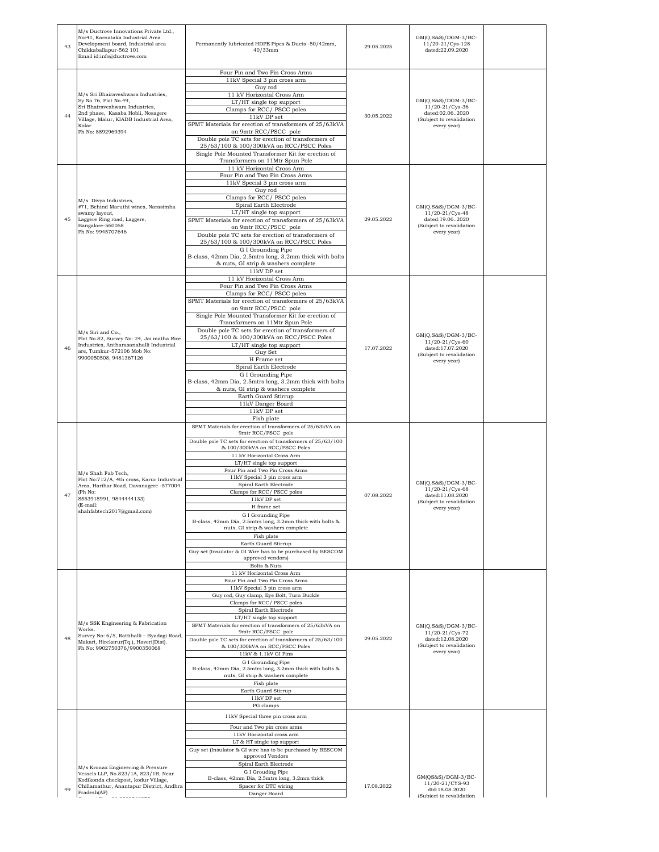| 43 | M/s Ductrove Innovations Private Ltd.,<br>No:41, Karnataka Industrial Area<br>Development board, Industrial area<br>Chikkaballapur-562 101<br>Email id:info@ductrove.com                                   | Permanently lubricated HDPE Pipes & Ducts -50/42mm,<br>$40/33$ mm                                                                                                                                                                                                                                                                                                                                                                                                                                                                                                                                                                                                     | 29.05.2025 | $GM(Q,S&S)/DGM-3/BC-$<br>$11/20 - 21/Cys - 128$<br>dated:22.09.2020                                     |  |
|----|------------------------------------------------------------------------------------------------------------------------------------------------------------------------------------------------------------|-----------------------------------------------------------------------------------------------------------------------------------------------------------------------------------------------------------------------------------------------------------------------------------------------------------------------------------------------------------------------------------------------------------------------------------------------------------------------------------------------------------------------------------------------------------------------------------------------------------------------------------------------------------------------|------------|---------------------------------------------------------------------------------------------------------|--|
| 44 | M/s Sri Bhairaveshwara Industries,<br>Sy No.76, Plot No.49,<br>Sri Bhairaveshwara Industries,<br>2nd phase, Kasaba Hobli, Nosagere<br>Village, Malur, KIADB Industrial Area,<br>Kolar<br>Ph No: 8892969394 | Four Pin and Two Pin Cross Arms<br>11kV Special 3 pin cross arm<br>Guy rod<br>11 kV Horizontal Cross Arm<br>LT/HT single top support<br>Clamps for RCC/ PSCC poles<br>11kV DP set<br>SPMT Materials for erection of transformers of 25/63kVA<br>on 9mtr RCC/PSCC pole<br>Double pole TC sets for erection of transformers of<br>25/63/100 & 100/300kVA on RCC/PSCC Poles<br>Single Pole Mounted Transformer Kit for erection of<br>Transformers on 11Mtr Spun Pole                                                                                                                                                                                                    | 30.05.2022 | GM(Q,S&S)/DGM-3/BC-<br>11/20-21/Cys-36<br>dated:02.062020<br>(Subject to revalidation<br>every year)    |  |
| 45 | M/s Divya Industries,<br>#71, Behind Maruthi wines, Narasimha<br>swamy layout,<br>Laggere Ring road, Laggere,<br>Bangalore-560058<br>Ph No: 9945707646                                                     | 11 kV Horizontal Cross Arm<br>Four Pin and Two Pin Cross Arms<br>11kV Special 3 pin cross arm<br>Guy rod<br>Clamps for RCC/ PSCC poles<br>Spiral Earth Electrode<br>LT/HT single top support<br>SPMT Materials for erection of transformers of 25/63kVA<br>on 9mtr RCC/PSCC pole<br>Double pole TC sets for erection of transformers of<br>25/63/100 & 100/300kVA on RCC/PSCC Poles<br>G I Grounding Pipe<br>B-class, 42mm Dia, 2.5mtrs long, 3.2mm thick with bolts<br>& nuts, GI strip & washers complete<br>11kV DP set                                                                                                                                            | 29.05.2022 | GM(Q,S&S)/DGM-3/BC-<br>11/20-21/Cys-48<br>dated:19.062020<br>(Subject to revalidation<br>every year)    |  |
| 46 | M/s Siri and Co.,<br>Plot No.82, Survey No: 24, Jai matha Rice<br>Industries, Antharasanahalli Industrial<br>are, Tumkur-572106 Mob No:<br>9900050508, 9481367126                                          | 11 kV Horizontal Cross Arm<br>Four Pin and Two Pin Cross Arms<br>Clamps for RCC/PSCC poles<br>SPMT Materials for erection of transformers of 25/63kVA<br>on 9mtr RCC/PSCC pole<br>Single Pole Mounted Transformer Kit for erection of<br>Transformers on 11Mtr Spun Pole<br>Double pole TC sets for erection of transformers of<br>25/63/100 & 100/300kVA on RCC/PSCC Poles<br>LT/HT single top support<br>Guy Set<br>H Frame set<br>Spiral Earth Electrode<br>G I Grounding Pipe<br>B-class, 42mm Dia, 2.5mtrs long, 3.2mm thick with bolts<br>& nuts, GI strip & washers complete<br>Earth Guard Stirrup<br>11kV Danger Board<br>11kV DP set<br>Fish plate          | 17.07.2022 | GM(Q,S&S)/DGM-3/BC-<br>11/20-21/Cys-60<br>dated:17.07.2020<br>(Subject to revalidation<br>every year)   |  |
| 47 | M/s Shah Fab Tech,<br>Plot No:712/A, 4th cross, Karur Industrial<br>Area, Harihar Road, Davanagere -577004.<br>(Ph No:<br>8553918991, 9844444133)<br>(E-mail:<br>shahfabtech2017@gmail.com)                | SPMT Materials for erection of transformers of 25/63kVA on<br>9mtr RCC/PSCC pole<br>Double pole TC sets for erection of transformers of 25/63/100<br>& 100/300kVA on RCC/PSCC Poles<br>11 kV Horizontal Cross Arm<br>LT/HT single top support<br>Four Pin and Two Pin Cross Arms<br>11kV Special 3 pin cross arm<br>Spiral Earth Electrode<br>Clamps for RCC/PSCC poles<br>11kV DP set<br>H frame set<br>G I Grounding Pipe<br>B-class, 42mm Dia, 2.5mtrs long, 3.2mm thick with bolts &<br>nuts, GI strip & washers complete<br>Fish plate<br>Earth Guard Stirrup<br>Guy set (Insulator & GI Wire has to be purchased by BESCOM<br>approved vendors)<br>Bolts & Nuts | 07.08.2022 | GM(Q,S&S)/DGM-3/BC-<br>11/20-21/Cys-68<br>dated:11.08.2020<br>(Subject to revalidation<br>every year)   |  |
| 48 | M/s SSK Engineering & Fabrication<br>Works.<br>Survey No: 6/5, Rattihalli - Byadagi Road,<br>Makari, Hirekerur(Tq.), Haveri(Dist).<br>Ph No: 9902750376/9900350068                                         | 11 kV Horizontal Cross Arm<br>Four Pin and Two Pin Cross Arms<br>11kV Special 3 pin cross arm<br>Guy rod, Guy clamp, Eye Bolt, Turn Buckle<br>Clamps for RCC/PSCC poles<br>Spiral Earth Electrode<br>LT/HT single top support<br>SPMT Materials for erection of transformers of 25/63kVA on<br>9mtr RCC/PSCC pole<br>Double pole TC sets for erection of transformers of 25/63/100<br>& 100/300kVA on RCC/PSCC Poles<br>11kV & 1.1kV GI Pins<br>G I Grounding Pipe<br>B-class, 42mm Dia, 2.5mtrs long, 3.2mm thick with bolts &<br>nuts, GI strip & washers complete<br>Fish plate<br>Earth Guard Stirrup<br>11kV DP set<br>PG clamps                                 | 29.05.2022 | $GM(Q,S&S)/DGM-3/BC-$<br>11/20-21/Cys-72<br>dated:12.08.2020<br>(Subject to revalidation<br>every year) |  |
| 49 | M/s Kronax Engineering & Pressure<br>Vessels LLP, No.823/1A, 823/1B, Near<br>Kodikonda checkpost, kodur Village,<br>Chillamathur, Anantapur District, Andhra<br>Pradesh(AP)<br>-------------               | 11kV Special three pin cross arm<br>Four and Two pin cross arms<br>11kV Horizontal cross arm<br>LT & HT single top support<br>Guy set (Insulator & GI wire has to be purchased by BESCOM<br>approved Vendors<br>Spiral Earth Electrode<br>G I Grouding Pipe<br>B-class, 42mm Dia, 2.5mtrs long, 3.2mm thick<br>Spacer for DTC wiring<br>Danger Board                                                                                                                                                                                                                                                                                                                  | 17.08.2022 | GM(QS&S)/DGM-3/BC-<br>11/20-21/CYS-93<br>dtd:18.08.2020<br>(Subject to revalidation                     |  |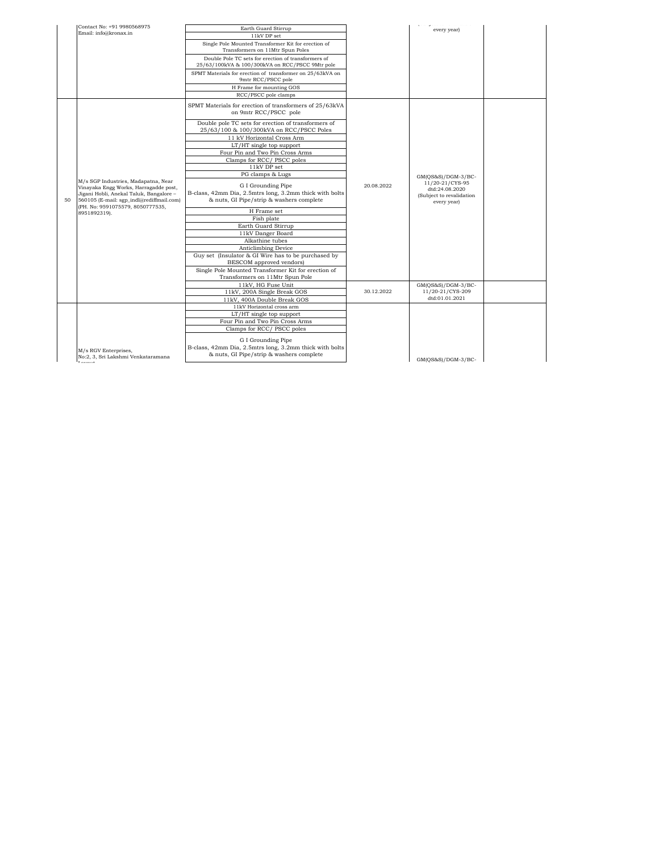| Single Pole Mounted Transformer Kit for erection of<br>Transformers on 11Mtr Spun Poles<br>Double Pole TC sets for erection of transformers of<br>25/63/100kVA & 100/300kVA on RCC/PSCC 9Mtr pole<br>SPMT Materials for erection of transformer on 25/63kVA on<br>9mtr RCC/PSCC pole<br>H Frame for mounting GOS<br>RCC/PSCC pole clamps<br>SPMT Materials for erection of transformers of 25/63kVA<br>on 9mtr RCC/PSCC pole<br>Double pole TC sets for erection of transformers of<br>25/63/100 & 100/300kVA on RCC/PSCC Poles<br>11 kV Horizontal Cross Arm<br>LT/HT single top support<br>Four Pin and Two Pin Cross Arms<br>Clamps for RCC/PSCC poles<br>11kV DP set<br>PG clamps & Lugs<br>GM(QS&S)/DGM-3/BC-<br>M/s SGP Industries, Madapatna, Near<br>11/20-21/CYS-95<br>G I Grounding Pipe<br>20.08.2022<br>Vinayaka Engg Works, Harragadde post,<br>dtd:24.08.2020<br>B-class, 42mm Dia, 2.5mtrs long, 3.2mm thick with bolts<br>Jigani Hobli, Anekal Taluk, Bangalore -<br>(Subject to revalidation<br>& nuts, GI Pipe/strip & washers complete<br>560105 (E-mail: sgp indl@rediffmail.com)<br>50<br>every year)<br>(PH. No: 9591075579, 8050777535,<br>H Frame set<br>8951892319).<br>Fish plate<br>Earth Guard Stirrup<br>11kV Danger Board<br>Alkathine tubes<br>Anticlimbing Device<br>Guy set (Insulator & GI Wire has to be purchased by<br>BESCOM approved vendors)<br>Single Pole Mounted Transformer Kit for erection of<br>Transformers on 11Mtr Spun Pole<br>11kV, HG Fuse Unit<br>GM(QS&S)/DGM-3/BC-<br>11kV, 200A Single Break GOS<br>30.12.2022<br>11/20-21/CYS-209<br>dtd:01.01.2021<br>11kV, 400A Double Break GOS<br>11kV Horizontal cross arm<br>$LT/HT$ single top support<br>Four Pin and Two Pin Cross Arms<br>Clamps for RCC/PSCC poles<br>G I Grounding Pipe<br>B-class, 42mm Dia, 2.5mtrs long, 3.2mm thick with bolts |  | Contact No: +91 9980568975<br>Email: info@kronax.in | Earth Guard Stirrup | magnetic control communication<br>every year) |  |
|----------------------------------------------------------------------------------------------------------------------------------------------------------------------------------------------------------------------------------------------------------------------------------------------------------------------------------------------------------------------------------------------------------------------------------------------------------------------------------------------------------------------------------------------------------------------------------------------------------------------------------------------------------------------------------------------------------------------------------------------------------------------------------------------------------------------------------------------------------------------------------------------------------------------------------------------------------------------------------------------------------------------------------------------------------------------------------------------------------------------------------------------------------------------------------------------------------------------------------------------------------------------------------------------------------------------------------------------------------------------------------------------------------------------------------------------------------------------------------------------------------------------------------------------------------------------------------------------------------------------------------------------------------------------------------------------------------------------------------------------------------------------------------------------------------------------------------------------------------|--|-----------------------------------------------------|---------------------|-----------------------------------------------|--|
|                                                                                                                                                                                                                                                                                                                                                                                                                                                                                                                                                                                                                                                                                                                                                                                                                                                                                                                                                                                                                                                                                                                                                                                                                                                                                                                                                                                                                                                                                                                                                                                                                                                                                                                                                                                                                                                          |  |                                                     | 11kV DP set         |                                               |  |
|                                                                                                                                                                                                                                                                                                                                                                                                                                                                                                                                                                                                                                                                                                                                                                                                                                                                                                                                                                                                                                                                                                                                                                                                                                                                                                                                                                                                                                                                                                                                                                                                                                                                                                                                                                                                                                                          |  |                                                     |                     |                                               |  |
|                                                                                                                                                                                                                                                                                                                                                                                                                                                                                                                                                                                                                                                                                                                                                                                                                                                                                                                                                                                                                                                                                                                                                                                                                                                                                                                                                                                                                                                                                                                                                                                                                                                                                                                                                                                                                                                          |  |                                                     |                     |                                               |  |
|                                                                                                                                                                                                                                                                                                                                                                                                                                                                                                                                                                                                                                                                                                                                                                                                                                                                                                                                                                                                                                                                                                                                                                                                                                                                                                                                                                                                                                                                                                                                                                                                                                                                                                                                                                                                                                                          |  |                                                     |                     |                                               |  |
|                                                                                                                                                                                                                                                                                                                                                                                                                                                                                                                                                                                                                                                                                                                                                                                                                                                                                                                                                                                                                                                                                                                                                                                                                                                                                                                                                                                                                                                                                                                                                                                                                                                                                                                                                                                                                                                          |  |                                                     |                     |                                               |  |
|                                                                                                                                                                                                                                                                                                                                                                                                                                                                                                                                                                                                                                                                                                                                                                                                                                                                                                                                                                                                                                                                                                                                                                                                                                                                                                                                                                                                                                                                                                                                                                                                                                                                                                                                                                                                                                                          |  |                                                     |                     |                                               |  |
|                                                                                                                                                                                                                                                                                                                                                                                                                                                                                                                                                                                                                                                                                                                                                                                                                                                                                                                                                                                                                                                                                                                                                                                                                                                                                                                                                                                                                                                                                                                                                                                                                                                                                                                                                                                                                                                          |  |                                                     |                     |                                               |  |
|                                                                                                                                                                                                                                                                                                                                                                                                                                                                                                                                                                                                                                                                                                                                                                                                                                                                                                                                                                                                                                                                                                                                                                                                                                                                                                                                                                                                                                                                                                                                                                                                                                                                                                                                                                                                                                                          |  |                                                     |                     |                                               |  |
|                                                                                                                                                                                                                                                                                                                                                                                                                                                                                                                                                                                                                                                                                                                                                                                                                                                                                                                                                                                                                                                                                                                                                                                                                                                                                                                                                                                                                                                                                                                                                                                                                                                                                                                                                                                                                                                          |  |                                                     |                     |                                               |  |
|                                                                                                                                                                                                                                                                                                                                                                                                                                                                                                                                                                                                                                                                                                                                                                                                                                                                                                                                                                                                                                                                                                                                                                                                                                                                                                                                                                                                                                                                                                                                                                                                                                                                                                                                                                                                                                                          |  |                                                     |                     |                                               |  |
|                                                                                                                                                                                                                                                                                                                                                                                                                                                                                                                                                                                                                                                                                                                                                                                                                                                                                                                                                                                                                                                                                                                                                                                                                                                                                                                                                                                                                                                                                                                                                                                                                                                                                                                                                                                                                                                          |  |                                                     |                     |                                               |  |
|                                                                                                                                                                                                                                                                                                                                                                                                                                                                                                                                                                                                                                                                                                                                                                                                                                                                                                                                                                                                                                                                                                                                                                                                                                                                                                                                                                                                                                                                                                                                                                                                                                                                                                                                                                                                                                                          |  |                                                     |                     |                                               |  |
|                                                                                                                                                                                                                                                                                                                                                                                                                                                                                                                                                                                                                                                                                                                                                                                                                                                                                                                                                                                                                                                                                                                                                                                                                                                                                                                                                                                                                                                                                                                                                                                                                                                                                                                                                                                                                                                          |  |                                                     |                     |                                               |  |
|                                                                                                                                                                                                                                                                                                                                                                                                                                                                                                                                                                                                                                                                                                                                                                                                                                                                                                                                                                                                                                                                                                                                                                                                                                                                                                                                                                                                                                                                                                                                                                                                                                                                                                                                                                                                                                                          |  |                                                     |                     |                                               |  |
|                                                                                                                                                                                                                                                                                                                                                                                                                                                                                                                                                                                                                                                                                                                                                                                                                                                                                                                                                                                                                                                                                                                                                                                                                                                                                                                                                                                                                                                                                                                                                                                                                                                                                                                                                                                                                                                          |  |                                                     |                     |                                               |  |
|                                                                                                                                                                                                                                                                                                                                                                                                                                                                                                                                                                                                                                                                                                                                                                                                                                                                                                                                                                                                                                                                                                                                                                                                                                                                                                                                                                                                                                                                                                                                                                                                                                                                                                                                                                                                                                                          |  |                                                     |                     |                                               |  |
|                                                                                                                                                                                                                                                                                                                                                                                                                                                                                                                                                                                                                                                                                                                                                                                                                                                                                                                                                                                                                                                                                                                                                                                                                                                                                                                                                                                                                                                                                                                                                                                                                                                                                                                                                                                                                                                          |  |                                                     |                     |                                               |  |
|                                                                                                                                                                                                                                                                                                                                                                                                                                                                                                                                                                                                                                                                                                                                                                                                                                                                                                                                                                                                                                                                                                                                                                                                                                                                                                                                                                                                                                                                                                                                                                                                                                                                                                                                                                                                                                                          |  |                                                     |                     |                                               |  |
|                                                                                                                                                                                                                                                                                                                                                                                                                                                                                                                                                                                                                                                                                                                                                                                                                                                                                                                                                                                                                                                                                                                                                                                                                                                                                                                                                                                                                                                                                                                                                                                                                                                                                                                                                                                                                                                          |  |                                                     |                     |                                               |  |
|                                                                                                                                                                                                                                                                                                                                                                                                                                                                                                                                                                                                                                                                                                                                                                                                                                                                                                                                                                                                                                                                                                                                                                                                                                                                                                                                                                                                                                                                                                                                                                                                                                                                                                                                                                                                                                                          |  |                                                     |                     |                                               |  |
|                                                                                                                                                                                                                                                                                                                                                                                                                                                                                                                                                                                                                                                                                                                                                                                                                                                                                                                                                                                                                                                                                                                                                                                                                                                                                                                                                                                                                                                                                                                                                                                                                                                                                                                                                                                                                                                          |  |                                                     |                     |                                               |  |
|                                                                                                                                                                                                                                                                                                                                                                                                                                                                                                                                                                                                                                                                                                                                                                                                                                                                                                                                                                                                                                                                                                                                                                                                                                                                                                                                                                                                                                                                                                                                                                                                                                                                                                                                                                                                                                                          |  |                                                     |                     |                                               |  |
|                                                                                                                                                                                                                                                                                                                                                                                                                                                                                                                                                                                                                                                                                                                                                                                                                                                                                                                                                                                                                                                                                                                                                                                                                                                                                                                                                                                                                                                                                                                                                                                                                                                                                                                                                                                                                                                          |  |                                                     |                     |                                               |  |
|                                                                                                                                                                                                                                                                                                                                                                                                                                                                                                                                                                                                                                                                                                                                                                                                                                                                                                                                                                                                                                                                                                                                                                                                                                                                                                                                                                                                                                                                                                                                                                                                                                                                                                                                                                                                                                                          |  |                                                     |                     |                                               |  |
|                                                                                                                                                                                                                                                                                                                                                                                                                                                                                                                                                                                                                                                                                                                                                                                                                                                                                                                                                                                                                                                                                                                                                                                                                                                                                                                                                                                                                                                                                                                                                                                                                                                                                                                                                                                                                                                          |  |                                                     |                     |                                               |  |
|                                                                                                                                                                                                                                                                                                                                                                                                                                                                                                                                                                                                                                                                                                                                                                                                                                                                                                                                                                                                                                                                                                                                                                                                                                                                                                                                                                                                                                                                                                                                                                                                                                                                                                                                                                                                                                                          |  |                                                     |                     |                                               |  |
|                                                                                                                                                                                                                                                                                                                                                                                                                                                                                                                                                                                                                                                                                                                                                                                                                                                                                                                                                                                                                                                                                                                                                                                                                                                                                                                                                                                                                                                                                                                                                                                                                                                                                                                                                                                                                                                          |  |                                                     |                     |                                               |  |
|                                                                                                                                                                                                                                                                                                                                                                                                                                                                                                                                                                                                                                                                                                                                                                                                                                                                                                                                                                                                                                                                                                                                                                                                                                                                                                                                                                                                                                                                                                                                                                                                                                                                                                                                                                                                                                                          |  |                                                     |                     |                                               |  |
|                                                                                                                                                                                                                                                                                                                                                                                                                                                                                                                                                                                                                                                                                                                                                                                                                                                                                                                                                                                                                                                                                                                                                                                                                                                                                                                                                                                                                                                                                                                                                                                                                                                                                                                                                                                                                                                          |  |                                                     |                     |                                               |  |
|                                                                                                                                                                                                                                                                                                                                                                                                                                                                                                                                                                                                                                                                                                                                                                                                                                                                                                                                                                                                                                                                                                                                                                                                                                                                                                                                                                                                                                                                                                                                                                                                                                                                                                                                                                                                                                                          |  |                                                     |                     |                                               |  |
|                                                                                                                                                                                                                                                                                                                                                                                                                                                                                                                                                                                                                                                                                                                                                                                                                                                                                                                                                                                                                                                                                                                                                                                                                                                                                                                                                                                                                                                                                                                                                                                                                                                                                                                                                                                                                                                          |  |                                                     |                     |                                               |  |
|                                                                                                                                                                                                                                                                                                                                                                                                                                                                                                                                                                                                                                                                                                                                                                                                                                                                                                                                                                                                                                                                                                                                                                                                                                                                                                                                                                                                                                                                                                                                                                                                                                                                                                                                                                                                                                                          |  |                                                     |                     |                                               |  |
|                                                                                                                                                                                                                                                                                                                                                                                                                                                                                                                                                                                                                                                                                                                                                                                                                                                                                                                                                                                                                                                                                                                                                                                                                                                                                                                                                                                                                                                                                                                                                                                                                                                                                                                                                                                                                                                          |  |                                                     |                     |                                               |  |
|                                                                                                                                                                                                                                                                                                                                                                                                                                                                                                                                                                                                                                                                                                                                                                                                                                                                                                                                                                                                                                                                                                                                                                                                                                                                                                                                                                                                                                                                                                                                                                                                                                                                                                                                                                                                                                                          |  |                                                     |                     |                                               |  |
|                                                                                                                                                                                                                                                                                                                                                                                                                                                                                                                                                                                                                                                                                                                                                                                                                                                                                                                                                                                                                                                                                                                                                                                                                                                                                                                                                                                                                                                                                                                                                                                                                                                                                                                                                                                                                                                          |  |                                                     |                     |                                               |  |
| & nuts, GI Pipe/strip & washers complete<br>No:2, 3, Sri Lakshmi Venkataramana                                                                                                                                                                                                                                                                                                                                                                                                                                                                                                                                                                                                                                                                                                                                                                                                                                                                                                                                                                                                                                                                                                                                                                                                                                                                                                                                                                                                                                                                                                                                                                                                                                                                                                                                                                           |  | M/s RGV Enterprises,                                |                     |                                               |  |
| GM(OS&S)/DGM-3/BC-                                                                                                                                                                                                                                                                                                                                                                                                                                                                                                                                                                                                                                                                                                                                                                                                                                                                                                                                                                                                                                                                                                                                                                                                                                                                                                                                                                                                                                                                                                                                                                                                                                                                                                                                                                                                                                       |  |                                                     |                     |                                               |  |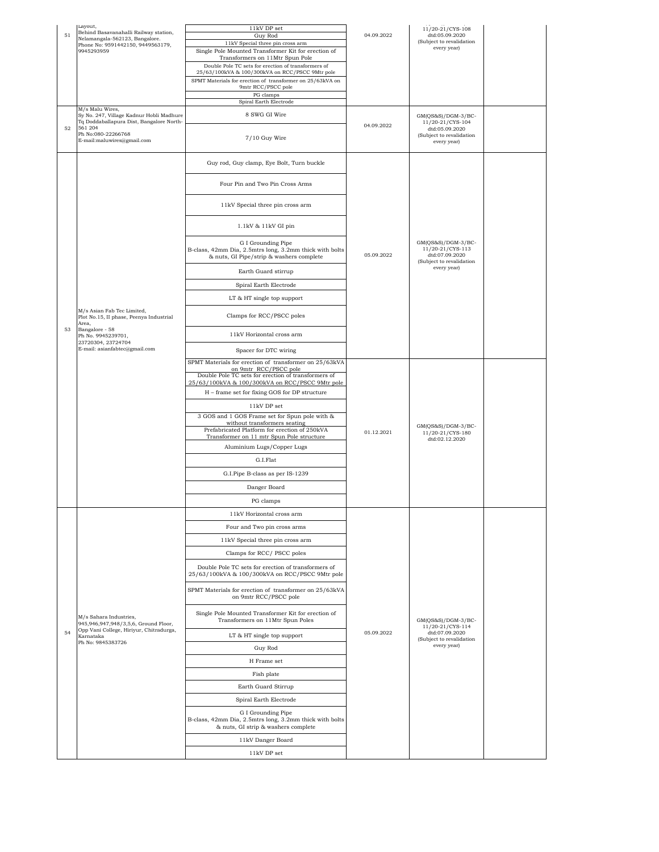| 51 | Layout,<br>Behind Basavanahalli Railway station,<br>Nelamangala-562123, Bangalore.                      | 11kV DP set<br>Guy Rod                                                                                                     | 04.09.2022 | 11/20-21/CYS-108<br>dtd:05.09.2020<br>(Subject to revalidation                                      |  |
|----|---------------------------------------------------------------------------------------------------------|----------------------------------------------------------------------------------------------------------------------------|------------|-----------------------------------------------------------------------------------------------------|--|
|    | Phone No: 9591442150, 9449563179,<br>9945293959                                                         | 11kV Special three pin cross arm<br>Single Pole Mounted Transformer Kit for erection of<br>Transformers on 11Mtr Spun Pole |            | every year)                                                                                         |  |
|    |                                                                                                         | Double Pole TC sets for erection of transformers of<br>25/63/100kVA & 100/300kVA on RCC/PSCC 9Mtr pole                     |            |                                                                                                     |  |
|    |                                                                                                         | SPMT Materials for erection of transformer on 25/63kVA on<br>9mtr RCC/PSCC pole                                            |            |                                                                                                     |  |
|    |                                                                                                         | PG clamps<br>Spiral Earth Electrode                                                                                        |            |                                                                                                     |  |
|    | M/s Malu Wires,<br>Sy No. 247, Village Kadnur Hobli Madhure                                             | 8 SWG GI Wire                                                                                                              |            |                                                                                                     |  |
| 52 | Tq Doddaballapura Dist, Bangalore North-<br>561 204<br>Ph No:080-22266768<br>E-mail:maluwires@gmail.com | 7/10 Guy Wire                                                                                                              | 04.09.2022 | GM(QS&S)/DGM-3/BC-<br>11/20-21/CYS-104<br>dtd:05.09.2020<br>(Subject to revalidation<br>every year) |  |
|    |                                                                                                         |                                                                                                                            |            |                                                                                                     |  |
|    |                                                                                                         | Guy rod, Guy clamp, Eye Bolt, Turn buckle                                                                                  |            |                                                                                                     |  |
|    |                                                                                                         | Four Pin and Two Pin Cross Arms                                                                                            |            |                                                                                                     |  |
|    |                                                                                                         | 11kV Special three pin cross arm                                                                                           |            |                                                                                                     |  |
|    |                                                                                                         | 1.1kV & 11kV GI pin<br>G I Grounding Pipe                                                                                  |            | GM(QS&S)/DGM-3/BC-                                                                                  |  |
|    |                                                                                                         | B-class, 42mm Dia, 2.5mtrs long, 3.2mm thick with bolts<br>& nuts, GI Pipe/strip & washers complete                        | 05.09.2022 | 11/20-21/CYS-113<br>dtd:07.09.2020<br>(Subject to revalidation                                      |  |
|    |                                                                                                         | Earth Guard stirrup                                                                                                        |            | every year)                                                                                         |  |
|    |                                                                                                         | Spiral Earth Electrode                                                                                                     |            |                                                                                                     |  |
|    |                                                                                                         | LT & HT single top support                                                                                                 |            |                                                                                                     |  |
|    | M/s Asian Fab Tec Limited,<br>Plot No.15, II phase, Peenya Industrial<br>Area,                          | Clamps for RCC/PSCC poles                                                                                                  |            |                                                                                                     |  |
| 53 | Bangalore - 58<br>Ph No. 9945239701,<br>23720304, 23724704                                              | 11kV Horizontal cross arm                                                                                                  |            |                                                                                                     |  |
|    | E-mail: asianfabtec@gmail.com                                                                           | Spacer for DTC wiring                                                                                                      |            |                                                                                                     |  |
|    |                                                                                                         | SPMT Materials for erection of transformer on 25/63kVA<br>on 9mtr_RCC/PSCC pole                                            |            |                                                                                                     |  |
|    |                                                                                                         | Double Pole TC sets for erection of transformers of<br>25/63/100kVA & 100/300kVA on RCC/PSCC 9Mtr pole                     |            |                                                                                                     |  |
|    |                                                                                                         | H - frame set for fixing GOS for DP structure                                                                              |            |                                                                                                     |  |
|    |                                                                                                         | 11kV DP set                                                                                                                |            |                                                                                                     |  |
|    |                                                                                                         | 3 GOS and 1 GOS Frame set for Spun pole with &<br>without transformers seating                                             |            |                                                                                                     |  |
|    |                                                                                                         | Prefabricated Platform for erection of 250kVA<br>Transformer on 11 mtr Spun Pole structure                                 | 01.12.2021 | GM(QS&S)/DGM-3/BC-<br>11/20-21/CYS-180                                                              |  |
|    |                                                                                                         | Aluminium Lugs/Copper Lugs                                                                                                 |            | dtd:02.12.2020                                                                                      |  |
|    |                                                                                                         | G.I.Flat                                                                                                                   |            |                                                                                                     |  |
|    |                                                                                                         | G.I.Pipe B-class as per IS-1239                                                                                            |            |                                                                                                     |  |
|    |                                                                                                         | Danger Board                                                                                                               |            |                                                                                                     |  |
|    |                                                                                                         | PG clamps                                                                                                                  |            |                                                                                                     |  |
|    |                                                                                                         | 11kV Horizontal cross arm                                                                                                  |            |                                                                                                     |  |
|    |                                                                                                         | Four and Two pin cross arms                                                                                                |            |                                                                                                     |  |
|    |                                                                                                         | 11kV Special three pin cross arm                                                                                           |            |                                                                                                     |  |
|    |                                                                                                         | Clamps for RCC/PSCC poles                                                                                                  |            |                                                                                                     |  |
|    |                                                                                                         | Double Pole TC sets for erection of transformers of<br>25/63/100kVA & 100/300kVA on RCC/PSCC 9Mtr pole                     |            |                                                                                                     |  |
|    |                                                                                                         | SPMT Materials for erection of transformer on 25/63kVA<br>on 9mtr RCC/PSCC pole                                            |            |                                                                                                     |  |
|    | M/s Sahara Industries,<br>945,946,947,948/3,5,6, Ground Floor,                                          | Single Pole Mounted Transformer Kit for erection of<br>Transformers on 11Mtr Spun Poles                                    |            | GM(QS&S)/DGM-3/BC-                                                                                  |  |
| 54 | Opp Vani College, Hiriyur, Chitradurga,<br>Karnataka<br>Ph No: 9845383726                               | LT & HT single top support                                                                                                 | 05.09.2022 | 11/20-21/CYS-114<br>dtd:07.09.2020<br>(Subject to revalidation                                      |  |
|    |                                                                                                         | Guy Rod                                                                                                                    |            | every year)                                                                                         |  |
|    |                                                                                                         | H Frame set                                                                                                                |            |                                                                                                     |  |
|    |                                                                                                         | Fish plate                                                                                                                 |            |                                                                                                     |  |
|    |                                                                                                         | Earth Guard Stirrup                                                                                                        |            |                                                                                                     |  |
|    |                                                                                                         | Spiral Earth Electrode                                                                                                     |            |                                                                                                     |  |
|    |                                                                                                         | G I Grounding Pipe<br>B-class, 42mm Dia, 2.5mtrs long, 3.2mm thick with bolts<br>& nuts, GI strip & washers complete       |            |                                                                                                     |  |
|    |                                                                                                         | 11kV Danger Board                                                                                                          |            |                                                                                                     |  |
|    |                                                                                                         | 11kV DP set                                                                                                                |            |                                                                                                     |  |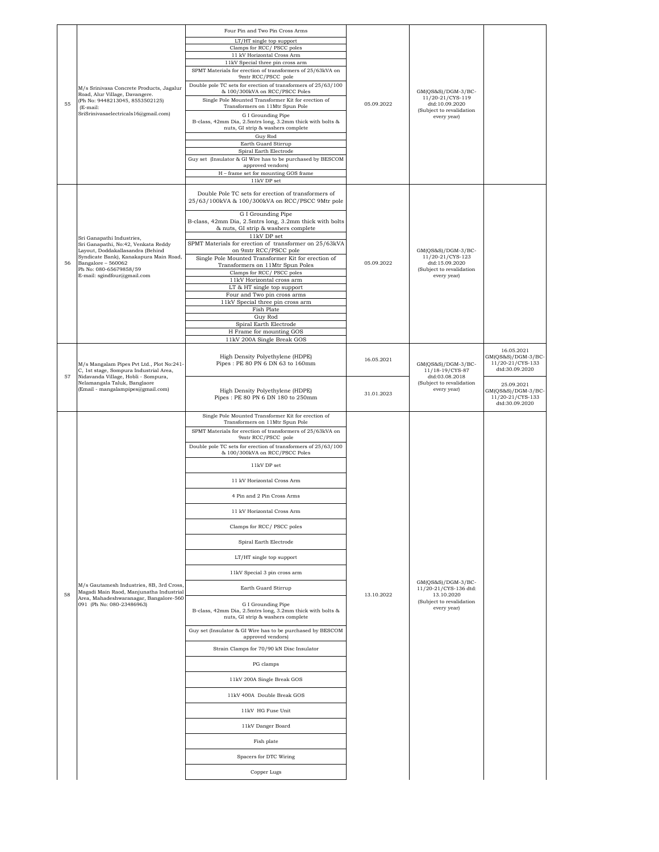| 55 | M/s Srinivasa Concrete Products, Jagalur<br>Road, Alur Village, Davangere.<br>(Ph No: 9448213045, 8553502125)<br>(E-mail:<br>SriSrinivasaelectricals16@gmail.com)                                                             | Four Pin and Two Pin Cross Arms<br>LT/HT single top support<br>Clamps for RCC/ PSCC poles<br>11 kV Horizontal Cross Arm<br>11kV Special three pin cross arm<br>SPMT Materials for erection of transformers of 25/63kVA on<br>9mtr RCC/PSCC pole<br>Double pole TC sets for erection of transformers of 25/63/100<br>& 100/300kVA on RCC/PSCC Poles<br>Single Pole Mounted Transformer Kit for erection of<br>Transformers on 11Mtr Spun Pole<br>G I Grounding Pipe<br>B-class, 42mm Dia, 2.5mtrs long, 3.2mm thick with bolts &<br>nuts, GI strip & washers complete<br>Guy Rod<br>Earth Guard Stirrup<br>Spiral Earth Electrode<br>Guy set (Insulator & GI Wire has to be purchased by BESCOM<br>approved vendors)<br>H - frame set for mounting GOS frame<br>11kV DP set                                                                                                                                                                                         | 05.09.2022               | $GM(QS&S)/DGM-3/BC-$<br>11/20-21/CYS-119<br>dtd:10.09.2020<br>(Subject to revalidation<br>every year) |                                                                                                                                                  |
|----|-------------------------------------------------------------------------------------------------------------------------------------------------------------------------------------------------------------------------------|--------------------------------------------------------------------------------------------------------------------------------------------------------------------------------------------------------------------------------------------------------------------------------------------------------------------------------------------------------------------------------------------------------------------------------------------------------------------------------------------------------------------------------------------------------------------------------------------------------------------------------------------------------------------------------------------------------------------------------------------------------------------------------------------------------------------------------------------------------------------------------------------------------------------------------------------------------------------|--------------------------|-------------------------------------------------------------------------------------------------------|--------------------------------------------------------------------------------------------------------------------------------------------------|
| 56 | Sri Ganapathi Industries,<br>Sri Ganapathi, No:42, Venkata Reddy<br>Layout, Doddakallasandra (Behind<br>Syndicate Bank), Kanakapura Main Road,<br>Bangalore - 560062<br>Ph No: 080-65679858/59<br>E-mail: sgindfour@gmail.com | Double Pole TC sets for erection of transformers of<br>25/63/100kVA & 100/300kVA on RCC/PSCC 9Mtr pole<br>G I Grounding Pipe<br>B-class, 42mm Dia, 2.5mtrs long, 3.2mm thick with bolts<br>& nuts, GI strip & washers complete<br>11kV DP set<br>SPMT Materials for erection of transformer on 25/63kVA<br>on 9mtr RCC/PSCC pole<br>Single Pole Mounted Transformer Kit for erection of<br>Transformers on 11Mtr Spun Poles<br>Clamps for RCC/PSCC poles<br>11kV Horizontal cross arm<br>LT & HT single top support<br>Four and Two pin cross arms<br>11kV Special three pin cross arm<br>Fish Plate<br>Guy Rod<br>Spiral Earth Electrode<br>H Frame for mounting GOS<br>11kV 200A Single Break GOS                                                                                                                                                                                                                                                                | 05.09.2022               | GM(QS&S)/DGM-3/BC-<br>11/20-21/CYS-123<br>dtd:15.09.2020<br>(Subject to revalidation<br>every year)   |                                                                                                                                                  |
| 57 | M/s Mangalam Pipes Pvt Ltd., Plot No:241-<br>C, 1st stage, Sompura Industrial Area,<br>Nidavanda Village, Hobli - Sompura,<br>Nelamangala Taluk, Banglaore<br>(Email - mangalampipes@gmail.com)                               | High Density Polyethylene (HDPE)<br>Pipes: PE 80 PN 6 DN 63 to 160mm<br>High Density Polyethylene (HDPE)<br>Pipes: PE 80 PN 6 DN 180 to 250mm                                                                                                                                                                                                                                                                                                                                                                                                                                                                                                                                                                                                                                                                                                                                                                                                                      | 16.05.2021<br>31.01.2023 | $GM(QS&S)/DGM-3/BC-$<br>11/18-19/CYS-87<br>dtd:03.08.2018<br>(Subject to revalidation<br>every year)  | 16.05.2021<br>GM(QS&S)/DGM-3/BC-<br>11/20-21/CYS-133<br>dtd:30.09.2020<br>25.09.2021<br>GM(QS&S)/DGM-3/BC-<br>11/20-21/CYS-133<br>dtd:30.09.2020 |
| 58 | M/s Gautamesh Industries, 8B, 3rd Cross,<br>Magadi Main Raod, Manjunatha Industrial<br>Area, Mahadeshwaranagar, Bangalore-560<br>091 (Ph No: 080-23486963)                                                                    | Single Pole Mounted Transformer Kit for erection of<br>Transformers on 11Mtr Spun Pole<br>SPMT Materials for erection of transformers of 25/63kVA on<br>9mtr RCC/PSCC pole<br>Double pole TC sets for erection of transformers of 25/63/100<br>& 100/300kVA on RCC/PSCC Poles<br>11kV DP set<br>11 kV Horizontal Cross Arm<br>4 Pin and 2 Pin Cross Arms<br>11 kV Horizontal Cross Arm<br>Clamps for RCC/PSCC poles<br>Spiral Earth Electrode<br>LT/HT single top support<br>11kV Special 3 pin cross arm<br>Earth Guard Stirrup<br>G I Grounding Pipe<br>B-class, 42mm Dia, 2.5mtrs long, 3.2mm thick with bolts &<br>nuts, GI strip & washers complete<br>Guy set (Insulator & GI Wire has to be purchased by BESCOM<br>approved vendors)<br>Strain Clamps for 70/90 kN Disc Insulator<br>PG clamps<br>11kV 200A Single Break GOS<br>11kV 400A Double Break GOS<br>11kV HG Fuse Unit<br>11kV Danger Board<br>Fish plate<br>Spacers for DTC Wiring<br>Copper Lugs | 13.10.2022               | GM(QS&S)/DGM-3/BC-<br>11/20-21/CYS-136 dtd:<br>13.10.2020<br>(Subject to revalidation<br>every year)  |                                                                                                                                                  |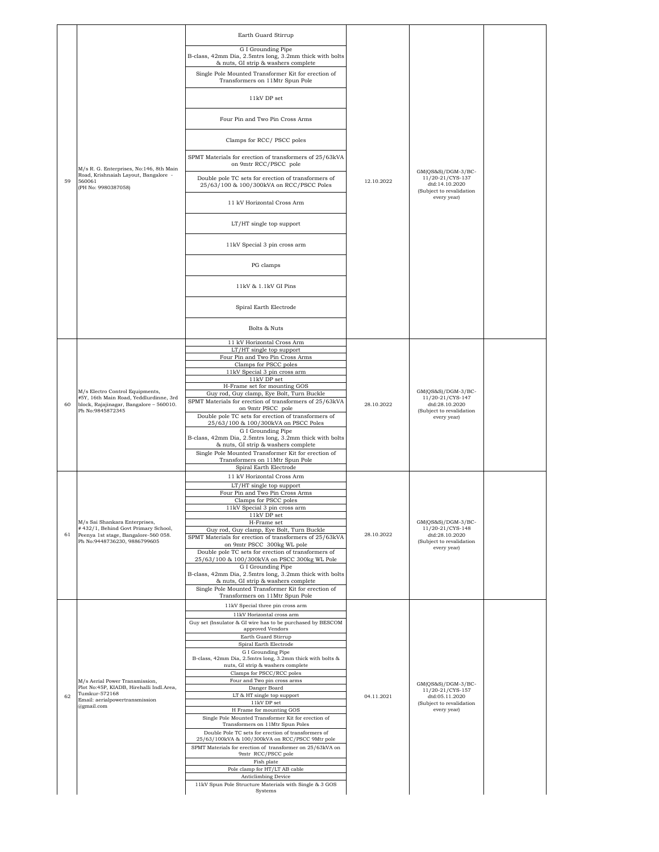|    |                                                                                                                                          | Earth Guard Stirrup                                                                                                                                                                                                                                    |            |                                                                                                     |  |
|----|------------------------------------------------------------------------------------------------------------------------------------------|--------------------------------------------------------------------------------------------------------------------------------------------------------------------------------------------------------------------------------------------------------|------------|-----------------------------------------------------------------------------------------------------|--|
|    | M/s R. G. Enterprises, No:146, 8th Main<br>Road, Krishnaiah Layout, Bangalore -<br>560061<br>(PH No: 9980387058)                         | G I Grounding Pipe<br>B-class, 42mm Dia, 2.5mtrs long, 3.2mm thick with bolts<br>& nuts, GI strip & washers complete                                                                                                                                   |            | GM(QS&S)/DGM-3/BC-<br>11/20-21/CYS-137<br>dtd:14.10.2020                                            |  |
|    |                                                                                                                                          | Single Pole Mounted Transformer Kit for erection of<br>Transformers on 11Mtr Spun Pole                                                                                                                                                                 |            |                                                                                                     |  |
|    |                                                                                                                                          | 11kV DP set                                                                                                                                                                                                                                            |            |                                                                                                     |  |
|    |                                                                                                                                          | Four Pin and Two Pin Cross Arms                                                                                                                                                                                                                        |            |                                                                                                     |  |
|    |                                                                                                                                          | Clamps for RCC/PSCC poles                                                                                                                                                                                                                              |            |                                                                                                     |  |
|    |                                                                                                                                          | SPMT Materials for erection of transformers of 25/63kVA<br>on 9mtr RCC/PSCC pole                                                                                                                                                                       |            |                                                                                                     |  |
| 59 |                                                                                                                                          | Double pole TC sets for erection of transformers of<br>25/63/100 & 100/300kVA on RCC/PSCC Poles                                                                                                                                                        | 12.10.2022 |                                                                                                     |  |
|    |                                                                                                                                          | 11 kV Horizontal Cross Arm                                                                                                                                                                                                                             |            | (Subject to revalidation<br>every year)                                                             |  |
|    |                                                                                                                                          | LT/HT single top support                                                                                                                                                                                                                               |            |                                                                                                     |  |
|    |                                                                                                                                          | 11kV Special 3 pin cross arm                                                                                                                                                                                                                           |            |                                                                                                     |  |
|    |                                                                                                                                          | PG clamps                                                                                                                                                                                                                                              |            |                                                                                                     |  |
|    |                                                                                                                                          | 11kV & 1.1kV GI Pins                                                                                                                                                                                                                                   |            |                                                                                                     |  |
|    |                                                                                                                                          | Spiral Earth Electrode                                                                                                                                                                                                                                 |            |                                                                                                     |  |
|    |                                                                                                                                          | Bolts & Nuts                                                                                                                                                                                                                                           |            |                                                                                                     |  |
|    | M/s Electro Control Equipments,<br>#5Y, 16th Main Road, Yeddlurdinne, 3rd<br>block, Rajajinagar, Bangalore - 560010.<br>Ph No:9845872345 | 11 kV Horizontal Cross Arm<br>LT/HT single top support<br>Four Pin and Two Pin Cross Arms<br>Clamps for PSCC poles<br>11kV Special 3 pin cross arm<br>11kV DP set                                                                                      | 28.10.2022 | GM(QS&S)/DGM-3/BC-<br>11/20-21/CYS-147<br>dtd:28.10.2020<br>(Subject to revalidation<br>every year) |  |
| 60 |                                                                                                                                          | H-Frame set for mounting GOS<br>Guy rod, Guy clamp, Eye Bolt, Turn Buckle<br>SPMT Materials for erection of transformers of 25/63kVA<br>on 9mtr PSCC pole<br>Double pole TC sets for erection of transformers of                                       |            |                                                                                                     |  |
|    |                                                                                                                                          | 25/63/100 & 100/300kVA on PSCC Poles<br>G I Grounding Pipe<br>B-class, 42mm Dia, 2.5mtrs long, 3.2mm thick with bolts<br>& nuts, GI strip & washers complete<br>Single Pole Mounted Transformer Kit for erection of<br>Transformers on 11Mtr Spun Pole |            |                                                                                                     |  |
|    |                                                                                                                                          | Spiral Earth Electrode<br>11 kV Horizontal Cross Arm                                                                                                                                                                                                   |            | GM(QS&S)/DGM-3/BC-<br>11/20-21/CYS-148<br>dtd:28.10.2020<br>(Subject to revalidation<br>every year) |  |
|    |                                                                                                                                          | LT/HT single top support<br>Four Pin and Two Pin Cross Arms<br>Clamps for PSCC poles                                                                                                                                                                   |            |                                                                                                     |  |
|    |                                                                                                                                          | 1kV Special 3 pin cross arm<br>$11kV$ DP set                                                                                                                                                                                                           |            |                                                                                                     |  |
| 61 | M/s Sai Shankara Enterprises,<br>#432/1, Behind Govt Primary School,                                                                     | H-Frame set<br>Guy rod, Guy clamp, Eye Bolt, Turn Buckle                                                                                                                                                                                               | 28.10.2022 |                                                                                                     |  |
|    | Peenya 1st stage, Bangalore-560 058.<br>Ph No:9448736230, 9886799605                                                                     | SPMT Materials for erection of transformers of 25/63kVA<br>on 9mtr PSCC 300kg WL pole                                                                                                                                                                  |            |                                                                                                     |  |
|    |                                                                                                                                          | Double pole TC sets for erection of transformers of<br>25/63/100 & 100/300kVA on PSCC 300kg WL Pole                                                                                                                                                    |            |                                                                                                     |  |
|    |                                                                                                                                          | G I Grounding Pipe<br>B-class, 42mm Dia, 2.5mtrs long, 3.2mm thick with bolts                                                                                                                                                                          |            |                                                                                                     |  |
|    |                                                                                                                                          | & nuts, GI strip & washers complete<br>Single Pole Mounted Transformer Kit for erection of                                                                                                                                                             |            |                                                                                                     |  |
|    |                                                                                                                                          | Transformers on 11Mtr Spun Pole<br>11kV Special three pin cross arm                                                                                                                                                                                    |            |                                                                                                     |  |
|    |                                                                                                                                          | 11kV Horizontal cross arm<br>Guy set (Insulator & GI wire has to be purchased by BESCOM                                                                                                                                                                |            |                                                                                                     |  |
|    |                                                                                                                                          | approved Vendors<br>Earth Guard Stirrup                                                                                                                                                                                                                |            |                                                                                                     |  |
|    |                                                                                                                                          | Spiral Earth Electrode<br>G I Grounding Pipe                                                                                                                                                                                                           |            |                                                                                                     |  |
|    |                                                                                                                                          | B-class, 42mm Dia, 2.5mtrs long, 3.2mm thick with bolts &<br>nuts, GI strip & washers complete                                                                                                                                                         |            |                                                                                                     |  |
|    | M/s Aerial Power Transmission,                                                                                                           | Clamps for PSCC/RCC poles<br>Four and Two pin cross arms                                                                                                                                                                                               |            | GM(QS&S)/DGM-3/BC-                                                                                  |  |
| 62 | Plot No:45P, KIADB, Hirehalli Indl.Area,<br>Tumkur-572168                                                                                | Danger Board<br>LT & HT single top support                                                                                                                                                                                                             | 04.11.2021 | 11/20-21/CYS-157<br>dtd:05.11.2020                                                                  |  |
|    | Email: aerialpowertransmission<br>@gmail.com                                                                                             | $11\mathrm{kV}$ DP set<br>H Frame for mounting GOS                                                                                                                                                                                                     |            | (Subject to revalidation<br>every year)                                                             |  |
|    |                                                                                                                                          | Single Pole Mounted Transformer Kit for erection of<br>Transformers on 11Mtr Spun Poles                                                                                                                                                                |            |                                                                                                     |  |
|    |                                                                                                                                          | Double Pole TC sets for erection of transformers of<br>25/63/100kVA & 100/300kVA on RCC/PSCC 9Mtr pole                                                                                                                                                 |            |                                                                                                     |  |
|    |                                                                                                                                          | SPMT Materials for erection of transformer on 25/63kVA on<br>9mtr RCC/PSCC pole                                                                                                                                                                        |            |                                                                                                     |  |
|    |                                                                                                                                          | Fish plate                                                                                                                                                                                                                                             |            |                                                                                                     |  |
|    |                                                                                                                                          | Pole clamp for HT/LT AB cable<br>Anticlimbing Device                                                                                                                                                                                                   |            |                                                                                                     |  |
|    |                                                                                                                                          | 11kV Spun Pole Structure Materials with Single & 3 GOS<br>Systems                                                                                                                                                                                      |            |                                                                                                     |  |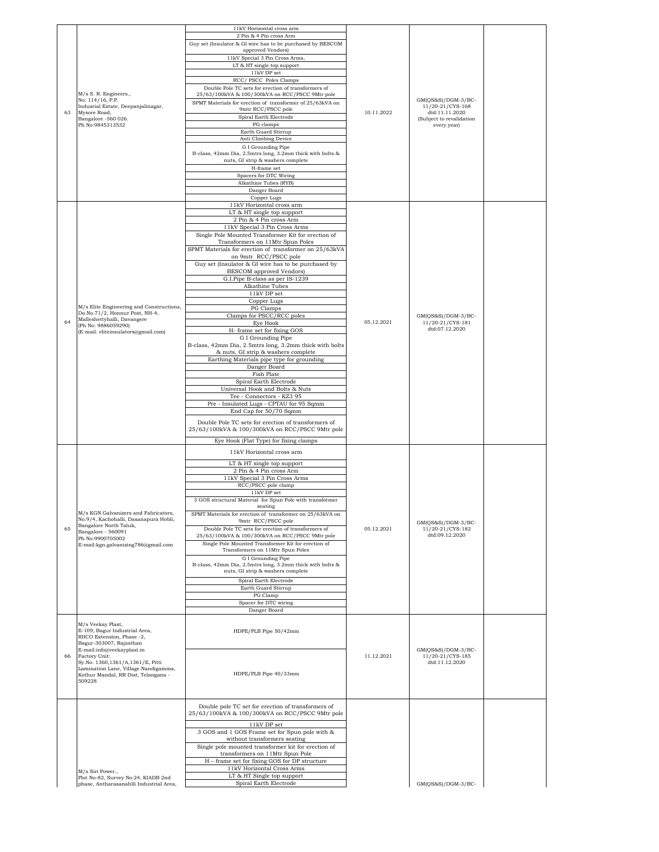|    |                                                                            | 11kV Horizontal cross arm<br>2 Pin & 4 Pin cross Arm                                                   |            |                                          |  |
|----|----------------------------------------------------------------------------|--------------------------------------------------------------------------------------------------------|------------|------------------------------------------|--|
|    |                                                                            | Guy set (Insulator & GI wire has to be purchased by BESCOM                                             |            |                                          |  |
|    |                                                                            | approved Vendors)<br>11kV Special 3 Pin Cross Arms,                                                    |            |                                          |  |
|    |                                                                            | LT & HT single top support                                                                             |            |                                          |  |
|    |                                                                            | $11\mathrm{kV}$ DP set<br>RCC/PSCC Poles Clamps                                                        |            |                                          |  |
|    | M/s S. R. Engineers.,                                                      | Double Pole TC sets for erection of transformers of<br>25/63/100kVA & 100/300kVA on RCC/PSCC 9Mtr pole |            |                                          |  |
|    | No: 114/16, P.P.                                                           | SPMT Materials for erection of transformer of 25/63kVA on                                              |            | $GM(QS&S)/DGM-3/BC-$                     |  |
|    | Indusrial Estate, Deepanjalinagar,<br>Mysore Road,                         | 9mtr RCC/PSCC pole<br>Spiral Earth Electrode                                                           | 10.11.2022 | 11/20-21/CYS-168<br>dtd:11.11.2020       |  |
|    | Bangalore -560 026.<br>Ph No:9845313532                                    | PG clamps                                                                                              |            | (Subject to revalidation<br>every year)  |  |
|    |                                                                            | Earth Guard Stirrup<br>Anti Climbing Device                                                            |            |                                          |  |
|    |                                                                            | G I Grounding Pipe                                                                                     |            |                                          |  |
|    |                                                                            | B-class, 42mm Dia, 2.5mtrs long, 3.2mm thick with bolts &<br>nuts, GI strip & washers complete         |            |                                          |  |
|    |                                                                            | H-frame set<br>Spacers for DTC Wiring                                                                  |            |                                          |  |
|    |                                                                            | Alkathine Tubes (RYB)                                                                                  |            |                                          |  |
|    |                                                                            | Danger Board<br>Copper Lugs                                                                            |            |                                          |  |
|    |                                                                            | 11kV Horizontal cross arm                                                                              |            |                                          |  |
|    |                                                                            | LT & HT single top support<br>2 Pin & 4 Pin cross Arm                                                  |            |                                          |  |
|    |                                                                            | 11kV Special 3 Pin Cross Arms                                                                          |            |                                          |  |
|    |                                                                            | Single Pole Mounted Transformer Kit for erection of<br>Transformers on 11Mtr Spun Poles                |            |                                          |  |
|    |                                                                            | SPMT Materials for erection of transformer on 25/63kVA<br>on 9mtr RCC/PSCC pole                        |            |                                          |  |
|    |                                                                            | Guy set (Insulator & GI wire has to be purchased by                                                    |            |                                          |  |
|    |                                                                            | <b>BESCOM</b> approved Vendors)<br>G.I.Pipe B-class as per IS-1239                                     |            |                                          |  |
|    |                                                                            | Alkathine Tubes                                                                                        |            |                                          |  |
|    |                                                                            | 11kV DP set<br>Copper Lugs                                                                             |            |                                          |  |
|    | M/s Elite Engineering and Constructions,<br>Do.No.71/2, Honnur Post, NH-4, | PG Clamps<br>Clamps for PSCC/RCC poles                                                                 |            |                                          |  |
|    | Malleshettyhalli, Davangere<br>(Ph No: 9886059290)                         | Eye Hook                                                                                               | 05.12.2021 | $GM(QS&S)/DGM-3/BC-$<br>11/20-21/CYS-181 |  |
|    | (E-mail: eliteinsulators@gmail.com)                                        | H- frame set for fixing GOS<br>G I Grounding Pipe                                                      |            | dtd:07.12.2020                           |  |
|    |                                                                            | B-class, 42mm Dia, 2.5mtrs long, 3.2mm thick with bolts                                                |            |                                          |  |
|    |                                                                            | & nuts, GI strip & washers complete<br>Earthing Materials pipe type for grounding                      |            |                                          |  |
|    |                                                                            | Danger Board                                                                                           |            |                                          |  |
|    |                                                                            | Fish Plate<br>Spiral Earth Electrode                                                                   |            |                                          |  |
|    |                                                                            | Universal Hook and Bolts & Nuts<br>Tee - Connectors - KZ3 95                                           |            |                                          |  |
|    |                                                                            | Pre - Insulated Lugs - CPTAU for 95 Sqmm                                                               |            |                                          |  |
|    |                                                                            | End Cap for 50/70 Sqmm                                                                                 |            |                                          |  |
|    |                                                                            | Double Pole TC sets for erection of transformers of<br>25/63/100kVA & 100/300kVA on RCC/PSCC 9Mtr pole |            |                                          |  |
|    |                                                                            | Eye Hook (Flat Type) for fixing clamps                                                                 |            |                                          |  |
|    |                                                                            | 11kV Horizontal cross arm                                                                              |            |                                          |  |
|    |                                                                            | LT & HT single top support                                                                             |            |                                          |  |
|    |                                                                            | 2 Pin & 4 Pin cross Arm<br>11kV Special 3 Pin Cross Arms                                               |            |                                          |  |
|    |                                                                            | RCC/PSCC pole clamp<br>$11\mathrm{kV}$ DP set                                                          |            |                                          |  |
|    |                                                                            | 3 GOS structural Material for Spun Pole with transformer                                               |            |                                          |  |
|    | M/s KGN Galvanizers and Fabricators,                                       | seating<br>SPMT Materials for erection of transformer on 25/63kVA on                                   |            |                                          |  |
|    | No.9/4, Kachohalli, Dasanapura Hobli,<br>Bangalore North Taluk.            | 9mtr RCC/PSCC pole                                                                                     |            | $GM(QS&S)/DGM-3/BC-$                     |  |
| 65 | Bangalore - 560091<br>Ph No:9900705002                                     | Double Pole TC sets for erection of transformers of<br>25/63/100kVA & 100/300kVA on RCC/PSCC 9Mtr pole | 05.12.2021 | 11/20-21/CYS-182<br>dtd:09.12.2020       |  |
|    | E-mail:kgn.galvanizing786@gmail.com                                        | Single Pole Mounted Transformer Kit for erection of<br>Transformers on 11Mtr Spun Poles                |            |                                          |  |
|    |                                                                            | G I Grounding Pipe                                                                                     |            |                                          |  |
|    |                                                                            | B-class, 42mm Dia, 2.5mtrs long, 3.2mm thick with bolts &<br>nuts, GI strip & washers complete         |            |                                          |  |
|    |                                                                            | Spiral Earth Electrode                                                                                 |            |                                          |  |
|    |                                                                            | Earth Guard Stirrup<br>PG Clamp                                                                        |            |                                          |  |
|    |                                                                            | Spacer for DTC wiring<br>Danger Board                                                                  |            |                                          |  |
|    |                                                                            |                                                                                                        |            |                                          |  |
|    | M/s Veekay Plast,<br>E-109, Bagur Industrial Area,                         | HDPE/PLB Pipe 50/42mm                                                                                  |            |                                          |  |
|    | RIICO Extension, Phase -2,<br>Bagur-303007, Rajasthan                      |                                                                                                        |            |                                          |  |
| 66 | E-mail:info@veekayplast.in<br>Factory Unit:                                |                                                                                                        | 11.12.2021 | $GM(QS&S)/DGM-3/BC-$<br>11/20-21/CYS-185 |  |
|    | Sy.No. 1360,1361/A,1361/E, Pitti<br>Lamination Lane, Village Nandigamma,   |                                                                                                        |            | dtd:11.12.2020                           |  |
|    | Kothur Mandal, RR Dist, Telangana -<br>509228                              | HDPE/PLB Pipe 40/33mm                                                                                  |            |                                          |  |
|    |                                                                            |                                                                                                        |            |                                          |  |
|    |                                                                            | Double pole TC set for erection of transformers of                                                     |            |                                          |  |
|    |                                                                            | 25/63/100kVA & 100/300kVA on RCC/PSCC 9Mtr pole                                                        |            |                                          |  |
|    |                                                                            | 11kV DP set                                                                                            |            |                                          |  |
|    |                                                                            | 3 GOS and 1 GOS Frame set for Spun pole with &<br>without transformers seating                         |            |                                          |  |
|    |                                                                            | Single pole mounted transformer kit for erection of<br>transformers on 11Mtr Spun Pole                 |            |                                          |  |
|    |                                                                            | H - frame set for fixing GOS for DP structure                                                          |            |                                          |  |
|    | M/s Siri Power.,<br>Plot No-82, Survey No:24, KIADB 2nd                    | 11kV Horizontal Cross Arms<br>LT & HT Single top support                                               |            |                                          |  |
|    | phase, Antharasanahlli Industrial Area.                                    | Spiral Earth Electrode                                                                                 |            | GM(QS&S)/DGM-3/BC-                       |  |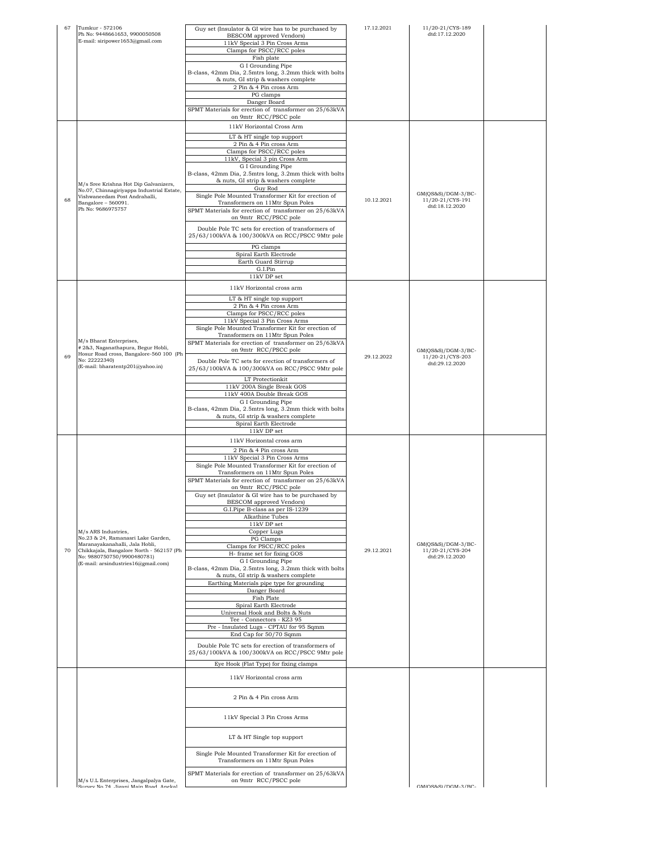| 67 | Tumkur - 572106<br>Ph No: 9448661653, 9900050508                                 | Guy set (Insulator & GI wire has to be purchased by                                            | 17.12.2021 | 11/20-21/CYS-189<br>dtd:17.12.2020     |  |
|----|----------------------------------------------------------------------------------|------------------------------------------------------------------------------------------------|------------|----------------------------------------|--|
|    | E-mail: siripower1653@gmail.com                                                  | BESCOM approved Vendors)<br>11kV Special 3 Pin Cross Arms                                      |            |                                        |  |
|    |                                                                                  | Clamps for PSCC/RCC poles<br>Fish plate                                                        |            |                                        |  |
|    |                                                                                  | G I Grounding Pipe                                                                             |            |                                        |  |
|    |                                                                                  | B-class, 42mm Dia, 2.5mtrs long, 3.2mm thick with bolts<br>& nuts, GI strip & washers complete |            |                                        |  |
|    |                                                                                  | 2 Pin & 4 Pin cross Arm                                                                        |            |                                        |  |
|    |                                                                                  | PG clamps<br>Danger Board                                                                      |            |                                        |  |
|    |                                                                                  | SPMT Materials for erection of transformer on 25/63kVA<br>on 9mtr RCC/PSCC pole                |            |                                        |  |
|    |                                                                                  | 11kV Horizontal Cross Arm                                                                      |            |                                        |  |
|    |                                                                                  | LT & HT single top support                                                                     |            |                                        |  |
|    | M/s Sree Krishna Hot Dip Galvanizers,                                            | 2 Pin & 4 Pin cross Arm<br>Clamps for PSCC/RCC poles                                           |            |                                        |  |
|    |                                                                                  | 11kV, Special 3 pin Cross Arm                                                                  |            |                                        |  |
|    |                                                                                  | G I Grounding Pipe<br>B-class, 42mm Dia, 2.5mtrs long, 3.2mm thick with bolts                  |            |                                        |  |
|    |                                                                                  | & nuts, GI strip & washers complete                                                            |            |                                        |  |
|    | No.07, Chinnagiriyappa Industrial Estate,<br>Vishwaneedam Post Andrahalli,       | Guy Rod<br>Single Pole Mounted Transformer Kit for erection of                                 |            | GM(QS&S)/DGM-3/BC-                     |  |
| 68 | Bangalore - 560091.<br>Ph No: 9686975757                                         | Transformers on 11Mtr Spun Poles<br>SPMT Materials for erection of transformer on 25/63kVA     | 10.12.2021 | 11/20-21/CYS-191<br>dtd:18.12.2020     |  |
|    |                                                                                  | on 9mtr RCC/PSCC pole                                                                          |            |                                        |  |
|    |                                                                                  | Double Pole TC sets for erection of transformers of                                            |            |                                        |  |
|    |                                                                                  | 25/63/100kVA & 100/300kVA on RCC/PSCC 9Mtr pole                                                |            |                                        |  |
|    |                                                                                  | PG clamps<br>Spiral Earth Electrode                                                            |            |                                        |  |
|    |                                                                                  | Earth Guard Stirrup                                                                            |            |                                        |  |
|    |                                                                                  | G.I.Pin<br>11kV DP set                                                                         |            |                                        |  |
|    |                                                                                  | 11kV Horizontal cross arm                                                                      |            |                                        |  |
|    |                                                                                  | LT & HT single top support                                                                     |            |                                        |  |
|    |                                                                                  | 2 Pin & 4 Pin cross Arm<br>Clamps for PSCC/RCC poles                                           |            |                                        |  |
|    |                                                                                  | 11kV Special 3 Pin Cross Arms                                                                  |            |                                        |  |
|    |                                                                                  | Single Pole Mounted Transformer Kit for erection of<br>Transformers on 11Mtr Spun Poles        |            |                                        |  |
|    | M/s Bharat Enterprises,<br># 2&3, Naganathapura, Begur Hobli,                    | SPMT Materials for erection of transformer on 25/63kVA<br>on 9mtr RCC/PSCC pole                |            |                                        |  |
| 69 | Hosur Road cross, Bangalore-560 100 (Ph<br>No: 22222340)                         | Double Pole TC sets for erection of transformers of                                            | 29.12.2022 | GM(QS&S)/DGM-3/BC-<br>11/20-21/CYS-203 |  |
|    | (E-mail: bharatentp201@yahoo.in)                                                 | 25/63/100kVA & 100/300kVA on RCC/PSCC 9Mtr pole                                                |            | dtd:29.12.2020                         |  |
|    |                                                                                  | LT Protectionkit                                                                               |            |                                        |  |
|    |                                                                                  | 11kV 200A Single Break GOS<br>11kV 400A Double Break GOS                                       |            |                                        |  |
|    |                                                                                  | G I Grounding Pipe<br>B-class, 42mm Dia, 2.5mtrs long, 3.2mm thick with bolts                  |            |                                        |  |
|    |                                                                                  | & nuts, GI strip & washers complete                                                            |            |                                        |  |
|    |                                                                                  | Spiral Earth Electrode<br>11kV DP set                                                          |            |                                        |  |
|    |                                                                                  | 11kV Horizontal cross arm                                                                      |            |                                        |  |
|    |                                                                                  | 2 Pin & 4 Pin cross Arm                                                                        |            |                                        |  |
|    |                                                                                  | 11kV Special 3 Pin Cross Arms<br>Single Pole Mounted Transformer Kit for erection of           |            |                                        |  |
|    |                                                                                  | Transformers on 11Mtr Spun Poles<br>SPMT Materials for erection of transformer on 25/63kVA     |            |                                        |  |
|    |                                                                                  | on 9mtr RCC/PSCC pole                                                                          |            |                                        |  |
|    |                                                                                  | Guy set (Insulator & GI wire has to be purchased by<br><b>BESCOM</b> approved Vendors)         |            |                                        |  |
|    |                                                                                  | G.I.Pipe B-class as per IS-1239                                                                |            |                                        |  |
|    |                                                                                  | Alkathine Tubes<br>11kV DP set                                                                 |            |                                        |  |
|    | M/s ARS Industries,<br>No.23 & 24, Ramanasri Lake Garden,                        | Copper Lugs<br>PG Clamps                                                                       |            |                                        |  |
| 70 | Maranayakanahalli, Jala Hobli,<br>Chikkajala, Bangalore North - 562157 (Ph       | Clamps for PSCC/RCC poles                                                                      | 29.12.2021 | GM(QS&S)/DGM-3/BC-<br>11/20-21/CYS-204 |  |
|    | No: 9880750750/9900480781)<br>(E-mail: arsindustries16@gmail.com)                | H- frame set for fixing GOS<br>G I Grounding Pipe                                              |            | dtd:29.12.2020                         |  |
|    |                                                                                  | B-class, 42mm Dia, 2.5mtrs long, 3.2mm thick with bolts                                        |            |                                        |  |
|    |                                                                                  | & nuts, GI strip & washers complete<br>Earthing Materials pipe type for grounding              |            |                                        |  |
|    |                                                                                  | Danger Board<br>Fish Plate                                                                     |            |                                        |  |
|    |                                                                                  | Spiral Earth Electrode                                                                         |            |                                        |  |
|    |                                                                                  | Universal Hook and Bolts & Nuts<br>Tee - Connectors - KZ3 95                                   |            |                                        |  |
|    |                                                                                  | Pre - Insulated Lugs - CPTAU for 95 Sqmm                                                       |            |                                        |  |
|    |                                                                                  | End Cap for 50/70 Sqmm<br>Double Pole TC sets for erection of transformers of                  |            |                                        |  |
|    |                                                                                  | 25/63/100kVA & 100/300kVA on RCC/PSCC 9Mtr pole                                                |            |                                        |  |
|    |                                                                                  | Eye Hook (Flat Type) for fixing clamps                                                         |            |                                        |  |
|    |                                                                                  | 11kV Horizontal cross arm                                                                      |            |                                        |  |
|    |                                                                                  |                                                                                                |            |                                        |  |
|    |                                                                                  | 2 Pin & 4 Pin cross Arm                                                                        |            |                                        |  |
|    |                                                                                  | 11kV Special 3 Pin Cross Arms                                                                  |            |                                        |  |
|    |                                                                                  |                                                                                                |            |                                        |  |
|    |                                                                                  | LT & HT Single top support                                                                     |            |                                        |  |
|    |                                                                                  | Single Pole Mounted Transformer Kit for erection of                                            |            |                                        |  |
|    |                                                                                  | Transformers on 11Mtr Spun Poles                                                               |            |                                        |  |
|    |                                                                                  | SPMT Materials for erection of transformer on 25/63kVA                                         |            |                                        |  |
|    | M/s U.L Enterprises, Jangalpalya Gate,<br>Survey No. 74 Timoni Main Poad Analyal | on 9mtr RCC/PSCC pole                                                                          |            | CMICS&S\/DCM.3/RC.                     |  |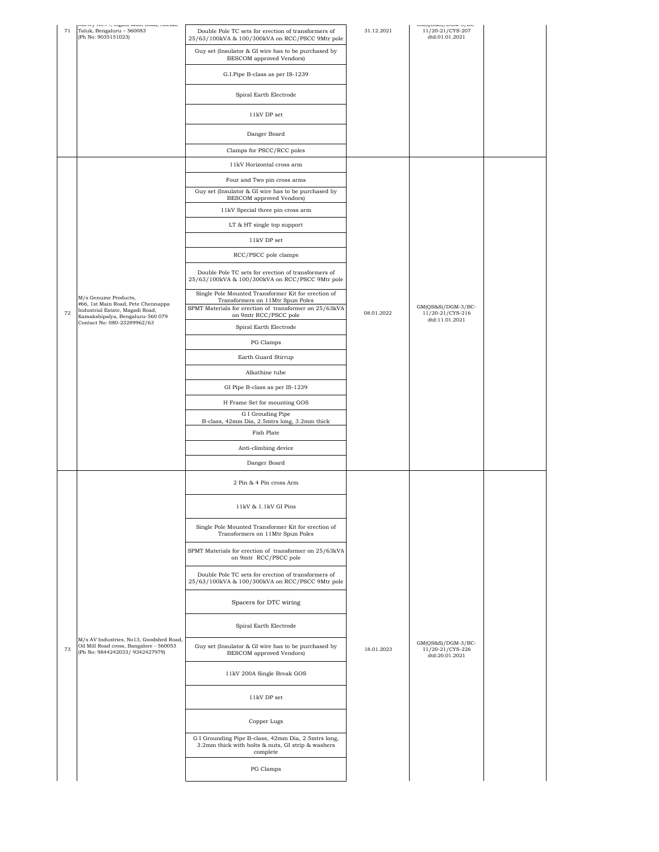| $71\,$ | Jurvey 190.7-9, organizmani reoau, zinewar<br>Taluk, Bengaluru - 560083<br>(Ph No: 9035151023)                       | Double Pole TC sets for erection of transformers of<br>25/63/100kVA & 100/300kVA on RCC/PSCC 9Mtr pole               | 31.12.2021 | and formed from a boo<br>11/20-21/CYS-207<br>dtd:01.01.2021 |  |
|--------|----------------------------------------------------------------------------------------------------------------------|----------------------------------------------------------------------------------------------------------------------|------------|-------------------------------------------------------------|--|
|        |                                                                                                                      | Guy set (Insulator & GI wire has to be purchased by<br><b>BESCOM</b> approved Vendors)                               |            |                                                             |  |
|        |                                                                                                                      | G.I.Pipe B-class as per IS-1239                                                                                      |            |                                                             |  |
|        |                                                                                                                      | Spiral Earth Electrode                                                                                               |            |                                                             |  |
|        |                                                                                                                      | 11kV DP set                                                                                                          |            |                                                             |  |
|        |                                                                                                                      | Danger Board                                                                                                         |            |                                                             |  |
|        |                                                                                                                      | Clamps for PSCC/RCC poles                                                                                            |            |                                                             |  |
|        |                                                                                                                      | 11kV Horizontal cross arm                                                                                            |            |                                                             |  |
|        |                                                                                                                      | Four and Two pin cross arms                                                                                          |            |                                                             |  |
|        |                                                                                                                      | Guy set (Insulator & GI wire has to be purchased by<br>BESCOM approved Vendors)                                      |            |                                                             |  |
|        |                                                                                                                      | 11kV Special three pin cross arm                                                                                     |            |                                                             |  |
|        |                                                                                                                      | LT & HT single top support                                                                                           |            |                                                             |  |
|        |                                                                                                                      | 11kV DP set                                                                                                          |            |                                                             |  |
|        |                                                                                                                      | RCC/PSCC pole clamps                                                                                                 |            |                                                             |  |
|        |                                                                                                                      | Double Pole TC sets for erection of transformers of                                                                  |            |                                                             |  |
|        |                                                                                                                      | 25/63/100kVA & 100/300kVA on RCC/PSCC 9Mtr pole                                                                      |            |                                                             |  |
|        | M/s Genuine Products,<br>#66, 1st Main Road, Pete Chennappa                                                          | Single Pole Mounted Transformer Kit for erection of<br>Transformers on 11Mtr Spun Poles                              |            |                                                             |  |
| 72     | Industrial Estate, Magadi Road,<br>Kamakshipalya, Bengaluru-560 079                                                  | SPMT Materials for erection of transformer on 25/63kVA<br>on 9mtr RCC/PSCC pole                                      | 08.01.2022 | GM(QS&S)/DGM-3/BC-<br>11/20-21/CYS-216                      |  |
|        | Contact No: 080-23289962/63                                                                                          | Spiral Earth Electrode                                                                                               |            | dtd:11.01.2021                                              |  |
|        |                                                                                                                      | PG Clamps                                                                                                            |            |                                                             |  |
|        |                                                                                                                      | Earth Guard Stirrup                                                                                                  |            |                                                             |  |
|        |                                                                                                                      | Alkathine tube                                                                                                       |            |                                                             |  |
|        |                                                                                                                      | GI Pipe B-class as per IS-1239                                                                                       |            |                                                             |  |
|        |                                                                                                                      | H Frame Set for mounting GOS                                                                                         |            |                                                             |  |
|        |                                                                                                                      | G I Grouding Pipe                                                                                                    |            |                                                             |  |
|        |                                                                                                                      | B-class, 42mm Dia, 2.5mtrs long, 3.2mm thick<br>Fish Plate                                                           |            |                                                             |  |
|        |                                                                                                                      | Anti-climbing device                                                                                                 |            |                                                             |  |
|        |                                                                                                                      |                                                                                                                      |            |                                                             |  |
|        |                                                                                                                      | Danger Board                                                                                                         |            |                                                             |  |
|        |                                                                                                                      | 2 Pin & 4 Pin cross Arm                                                                                              |            |                                                             |  |
|        |                                                                                                                      | 11kV & 1.1kV GI Pins                                                                                                 |            |                                                             |  |
|        |                                                                                                                      | Single Pole Mounted Transformer Kit for erection of<br>Transformers on 11Mtr Spun Poles                              |            |                                                             |  |
|        |                                                                                                                      | SPMT Materials for erection of transformer on 25/63kVA<br>on 9mtr RCC/PSCC pole                                      |            |                                                             |  |
|        |                                                                                                                      | Double Pole TC sets for erection of transformers of<br>25/63/100kVA & 100/300kVA on RCC/PSCC 9Mtr pole               |            |                                                             |  |
|        |                                                                                                                      | Spacers for DTC wiring                                                                                               |            |                                                             |  |
|        |                                                                                                                      | Spiral Earth Electrode                                                                                               |            |                                                             |  |
| 73     | M/s AV Industries, No13, Goodshed Road,<br>Oil Mill Road cross, Bangalore - 560053<br>(Ph No: 9844242033/9342427979) | Guy set (Insulator & GI wire has to be purchased by<br>BESCOM approved Vendors)                                      | 18.01.2023 | GM(QS&S)/DGM-3/BC-<br>11/20-21/CYS-226<br>dtd:20.01.2021    |  |
|        |                                                                                                                      | 11kV 200A Single Break GOS                                                                                           |            |                                                             |  |
|        |                                                                                                                      | 11kV DP set                                                                                                          |            |                                                             |  |
|        |                                                                                                                      | Copper Lugs                                                                                                          |            |                                                             |  |
|        |                                                                                                                      | G I Grounding Pipe B-class, 42mm Dia, 2.5mtrs long,<br>3.2mm thick with bolts & nuts, GI strip & washers<br>complete |            |                                                             |  |
|        |                                                                                                                      | PG Clamps                                                                                                            |            |                                                             |  |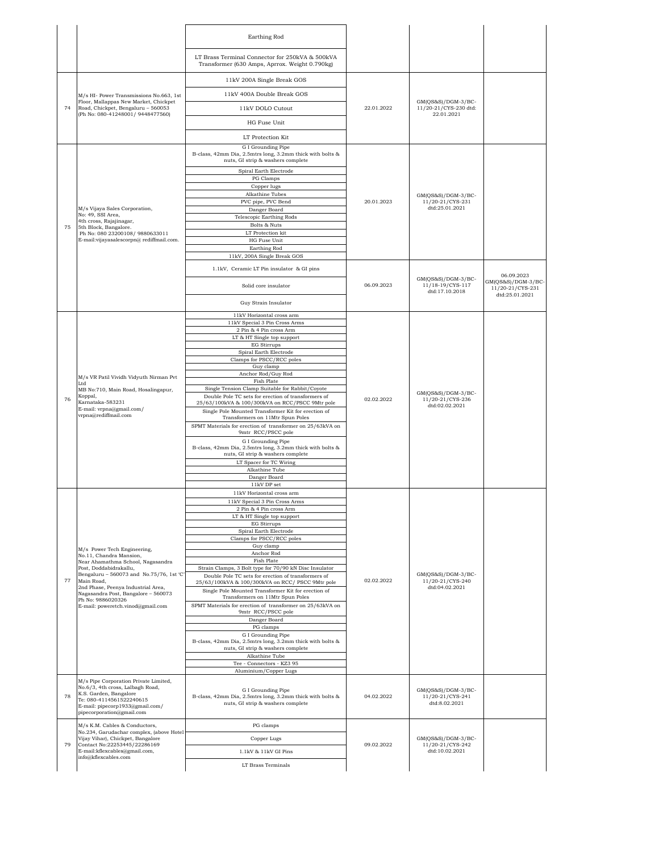|    |                                                                                                                                                                                                 | Earthing Rod                                                                                                         |            |                                                         |                                                          |
|----|-------------------------------------------------------------------------------------------------------------------------------------------------------------------------------------------------|----------------------------------------------------------------------------------------------------------------------|------------|---------------------------------------------------------|----------------------------------------------------------|
|    |                                                                                                                                                                                                 | LT Brass Terminal Connector for 250kVA & 500kVA<br>Transformer (630 Amps, Aprrox. Weight 0.790kg)                    |            |                                                         |                                                          |
|    |                                                                                                                                                                                                 | 11kV 200A Single Break GOS                                                                                           |            |                                                         |                                                          |
|    | M/s HI- Power Transmissions No.663, 1st                                                                                                                                                         | 11kV 400A Double Break GOS                                                                                           |            |                                                         |                                                          |
| 74 | Floor, Mallappas New Market, Chickpet<br>Road, Chickpet, Bengaluru - 560053                                                                                                                     | 11kV DOLO Cutout                                                                                                     | 22.01.2022 | GM(QS&S)/DGM-3/BC-<br>11/20-21/CYS-230 dtd:             |                                                          |
|    | (Ph No: 080-41248001/9448477560)                                                                                                                                                                | HG Fuse Unit                                                                                                         |            | 22.01.2021                                              |                                                          |
|    |                                                                                                                                                                                                 | LT Protection Kit                                                                                                    |            |                                                         |                                                          |
|    |                                                                                                                                                                                                 | G I Grounding Pipe                                                                                                   |            |                                                         |                                                          |
|    |                                                                                                                                                                                                 | B-class, 42mm Dia, 2.5mtrs long, 3.2mm thick with bolts &<br>nuts, GI strip & washers complete                       |            |                                                         |                                                          |
|    |                                                                                                                                                                                                 | Spiral Earth Electrode<br>PG Clamps                                                                                  |            |                                                         |                                                          |
|    |                                                                                                                                                                                                 | Copper lugs<br>Alkathine Tubes                                                                                       |            |                                                         |                                                          |
|    |                                                                                                                                                                                                 | PVC pipe, PVC Bend                                                                                                   | 20.01.2023 | GM(QS&S)/DGM-3/BC-<br>11/20-21/CYS-231                  |                                                          |
|    | M/s Vijaya Sales Corporation,<br>No: 49, SSI Area,                                                                                                                                              | Danger Board<br>Telescopic Earthing Rods                                                                             |            | dtd:25.01.2021                                          |                                                          |
| 75 | 4th cross, Rajajinagar,<br>5th Block, Bangalore.                                                                                                                                                | Bolts & Nuts                                                                                                         |            |                                                         |                                                          |
|    | Ph No: 080 23200108/ 9880633011                                                                                                                                                                 | LT Protection kit                                                                                                    |            |                                                         |                                                          |
|    | E-mail:vijayasalescorpn@ rediffmail.com.                                                                                                                                                        | HG Fuse Unit<br>Earthing Rod                                                                                         |            |                                                         |                                                          |
|    |                                                                                                                                                                                                 | 11kV, 200A Single Break GOS                                                                                          |            |                                                         |                                                          |
|    |                                                                                                                                                                                                 | 1.1kV, Ceramic LT Pin insulator & GI pins                                                                            |            | GM(QS&S)/DGM-3/BC-                                      | 06.09.2023                                               |
|    |                                                                                                                                                                                                 | Solid core insulator                                                                                                 | 06.09.2023 | 11/18-19/CYS-117<br>dtd:17.10.2018                      | GM(QS&S)/DGM-3/BC-<br>11/20-21/CYS-231<br>dtd:25.01.2021 |
|    |                                                                                                                                                                                                 | Guy Strain Insulator                                                                                                 |            |                                                         |                                                          |
|    |                                                                                                                                                                                                 | 11kV Horizontal cross arm<br>11kV Special 3 Pin Cross Arms                                                           |            |                                                         |                                                          |
|    |                                                                                                                                                                                                 | 2 Pin & 4 Pin cross Arm                                                                                              |            |                                                         |                                                          |
|    |                                                                                                                                                                                                 | LT & HT Single top support<br><b>EG Stirrups</b>                                                                     |            |                                                         |                                                          |
|    | M/s VR Patil Vividh Vidyuth Nirman Pvt<br>Ltd<br>MB No:710, Main Road, Hosalingapur,<br>Koppal,<br>Karnataka-583231<br>E-mail: vrpna@gmail.com/<br>vrpna@rediffmail.com                         | Spiral Earth Electrode                                                                                               | 02.02.2022 |                                                         |                                                          |
|    |                                                                                                                                                                                                 | Clamps for PSCC/RCC poles<br>Guy clamp                                                                               |            |                                                         |                                                          |
|    |                                                                                                                                                                                                 | Anchor Rod/Guy Rod                                                                                                   |            |                                                         |                                                          |
|    |                                                                                                                                                                                                 | <b>Fish Plate</b><br>Single Tension Clamp Suitable for Rabbit/Coyote                                                 |            |                                                         |                                                          |
| 76 |                                                                                                                                                                                                 | Double Pole TC sets for erection of transformers of                                                                  |            | GM(QS&S)/DGM-3/BC-<br>11/20-21/CYS-236                  |                                                          |
|    |                                                                                                                                                                                                 | 25/63/100kVA & 100/300kVA on RCC/PSCC 9Mtr pole<br>Single Pole Mounted Transformer Kit for erection of               |            | dtd:02.02.2021                                          |                                                          |
|    |                                                                                                                                                                                                 | Transformers on 11Mtr Spun Poles                                                                                     |            |                                                         |                                                          |
|    |                                                                                                                                                                                                 | SPMT Materials for erection of transformer on 25/63kVA on<br>9mtr RCC/PSCC pole                                      |            |                                                         |                                                          |
|    |                                                                                                                                                                                                 | G I Grounding Pipe<br>B-class, 42mm Dia, 2.5mtrs long, 3.2mm thick with bolts &<br>nuts, GI strip & washers complete |            |                                                         |                                                          |
|    |                                                                                                                                                                                                 | LT Spacer for TC Wiring                                                                                              |            |                                                         |                                                          |
|    |                                                                                                                                                                                                 | Alkathine Tube<br>Danger Board                                                                                       |            |                                                         |                                                          |
|    |                                                                                                                                                                                                 | 11kV DP set                                                                                                          |            |                                                         |                                                          |
|    |                                                                                                                                                                                                 | 11kV Horizontal cross arm<br>11kV Special 3 Pin Cross Arms                                                           |            |                                                         |                                                          |
|    |                                                                                                                                                                                                 | 2 Pin & 4 Pin cross Arm                                                                                              |            |                                                         |                                                          |
|    |                                                                                                                                                                                                 | LT & HT Single top support<br><b>EG Stirrups</b>                                                                     |            |                                                         |                                                          |
|    |                                                                                                                                                                                                 | Spiral Earth Electrode                                                                                               |            |                                                         |                                                          |
|    |                                                                                                                                                                                                 | Clamps for PSCC/RCC poles<br>Guy clamp                                                                               |            |                                                         |                                                          |
|    | M/s Power Tech Engineering,<br>No.11, Chandra Mansion,                                                                                                                                          | Anchor Rod                                                                                                           |            |                                                         |                                                          |
|    | Near Ahamathma School, Nagasandra<br>Post, Doddabidrakallu,                                                                                                                                     | Fish Plate<br>Strain Clamps, 3 Bolt type for 70/90 kN Disc Insulator                                                 |            |                                                         |                                                          |
| 77 | Bengaluru - 560073 and No.75/76, 1st 'C'<br>Main Road,                                                                                                                                          | Double Pole TC sets for erection of transformers of                                                                  | 02.02.2022 | GM(QS&S)/DGM-3/BC-<br>11/20-21/CYS-240                  |                                                          |
|    | 2nd Phase, Peenya Industrial Area,<br>Nagasandra Post, Bangalore - 560073                                                                                                                       | 25/63/100kVA & 100/300kVA on RCC/ PSCC 9Mtr pole<br>Single Pole Mounted Transformer Kit for erection of              |            | dtd:04.02.2021                                          |                                                          |
|    | Ph No: 9886020326                                                                                                                                                                               | Transformers on 11Mtr Spun Poles<br>SPMT Materials for erection of transformer on 25/63kVA on                        |            |                                                         |                                                          |
|    | E-mail: poweretch.vinod@gmail.com                                                                                                                                                               | 9mtr RCC/PSCC pole                                                                                                   |            |                                                         |                                                          |
|    |                                                                                                                                                                                                 | Danger Board<br>PG clamps                                                                                            |            |                                                         |                                                          |
|    |                                                                                                                                                                                                 | G I Grounding Pipe                                                                                                   |            |                                                         |                                                          |
|    |                                                                                                                                                                                                 | B-class, 42mm Dia, 2.5mtrs long, 3.2mm thick with bolts &<br>nuts, GI strip & washers complete                       |            |                                                         |                                                          |
|    |                                                                                                                                                                                                 | Alkathine Tube                                                                                                       |            |                                                         |                                                          |
|    |                                                                                                                                                                                                 | Tee - Connectors - KZ3 95<br>Aluminium/Copper Lugs                                                                   |            |                                                         |                                                          |
| 78 | M/s Pipe Corporation Private Limited,<br>No.6/3, 4th cross, Lalbagh Road,<br>K.S. Garden, Bangalore<br>Te: 080-4114561522240615<br>E-mail: pipecorp1933@gmail.com/<br>pipecorporation@gmail.com | G I Grounding Pipe<br>B-class, 42mm Dia, 2.5mtrs long, 3.2mm thick with bolts &<br>nuts, GI strip & washers complete | 04.02.2022 | GM(QS&S)/DGM-3/BC-<br>11/20-21/CYS-241<br>dtd:8.02.2021 |                                                          |
|    | M/s K.M. Cables & Conductors,                                                                                                                                                                   | PG clamps                                                                                                            |            |                                                         |                                                          |
|    | No.234, Garudachar complex, (above Hotel<br>Vijay Vihar), Chickpet, Bangalore                                                                                                                   | Copper Lugs                                                                                                          |            | GM(QS&S)/DGM-3/BC-                                      |                                                          |
| 79 | Contact No:22253445/22286169<br>E-mail:kflexcables@gmail.com,                                                                                                                                   | 1.1kV & 11kV GI Pins                                                                                                 | 09.02.2022 | 11/20-21/CYS-242<br>dtd:10.02.2021                      |                                                          |
|    | info@kflexcables.com                                                                                                                                                                            |                                                                                                                      |            |                                                         |                                                          |
|    |                                                                                                                                                                                                 | LT Brass Terminals                                                                                                   |            |                                                         |                                                          |